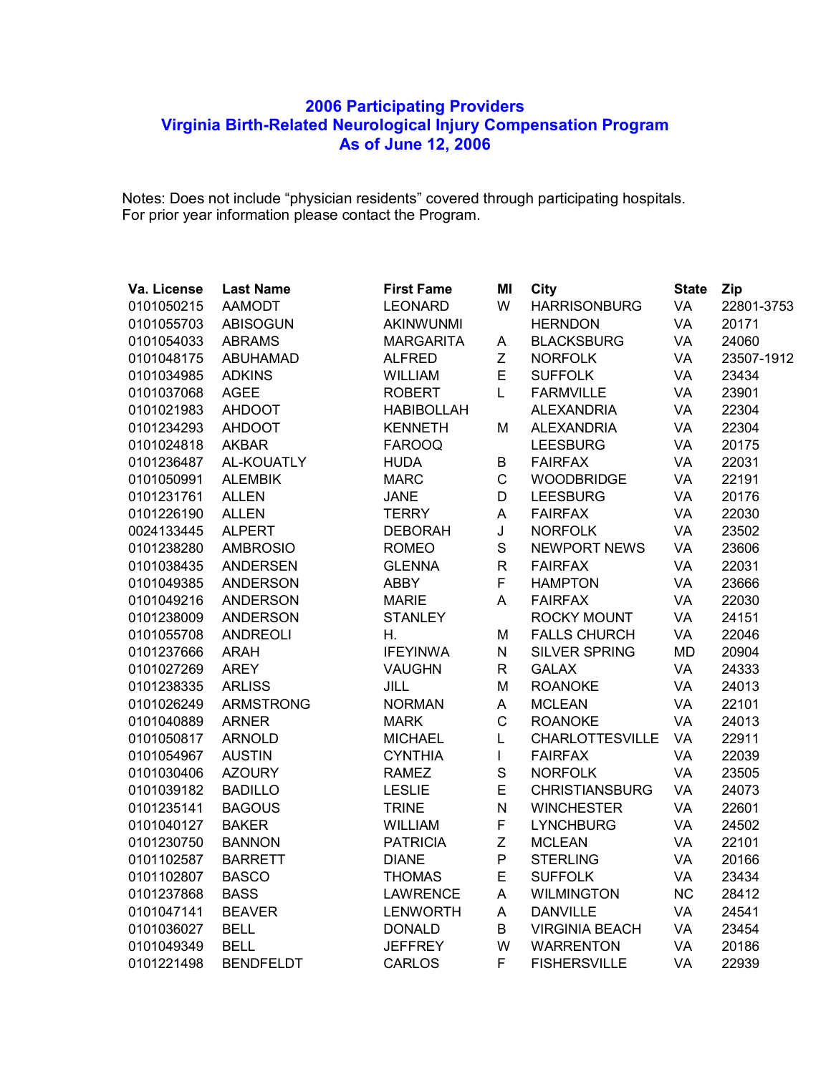## **Participating Providers Virginia Birth-Related Neurological Injury Compensation Program As of June 12, 2006**

Notes: Does not include "physician residents" covered through participating hospitals. For prior year information please contact the Program.

| Va. License | <b>Last Name</b> | <b>First Fame</b> | MI           | <b>City</b>            | <b>State</b> | Zip        |
|-------------|------------------|-------------------|--------------|------------------------|--------------|------------|
| 0101050215  | <b>AAMODT</b>    | <b>LEONARD</b>    | W            | <b>HARRISONBURG</b>    | VA           | 22801-3753 |
| 0101055703  | <b>ABISOGUN</b>  | <b>AKINWUNMI</b>  |              | <b>HERNDON</b>         | VA           | 20171      |
| 0101054033  | <b>ABRAMS</b>    | <b>MARGARITA</b>  | A            | <b>BLACKSBURG</b>      | VA           | 24060      |
| 0101048175  | <b>ABUHAMAD</b>  | <b>ALFRED</b>     | Z            | <b>NORFOLK</b>         | VA           | 23507-1912 |
| 0101034985  | <b>ADKINS</b>    | WILLIAM           | E            | <b>SUFFOLK</b>         | VA           | 23434      |
| 0101037068  | <b>AGEE</b>      | <b>ROBERT</b>     | L            | <b>FARMVILLE</b>       | VA           | 23901      |
| 0101021983  | <b>AHDOOT</b>    | <b>HABIBOLLAH</b> |              | <b>ALEXANDRIA</b>      | VA           | 22304      |
| 0101234293  | <b>AHDOOT</b>    | <b>KENNETH</b>    | M            | <b>ALEXANDRIA</b>      | VA           | 22304      |
| 0101024818  | <b>AKBAR</b>     | <b>FAROOQ</b>     |              | <b>LEESBURG</b>        | VA           | 20175      |
| 0101236487  | AL-KOUATLY       | <b>HUDA</b>       | B            | <b>FAIRFAX</b>         | VA           | 22031      |
| 0101050991  | <b>ALEMBIK</b>   | <b>MARC</b>       | $\mathsf C$  | <b>WOODBRIDGE</b>      | VA           | 22191      |
| 0101231761  | <b>ALLEN</b>     | <b>JANE</b>       | D            | <b>LEESBURG</b>        | VA           | 20176      |
| 0101226190  | <b>ALLEN</b>     | <b>TERRY</b>      | A            | <b>FAIRFAX</b>         | VA           | 22030      |
| 0024133445  | <b>ALPERT</b>    | <b>DEBORAH</b>    | J            | <b>NORFOLK</b>         | VA           | 23502      |
| 0101238280  | <b>AMBROSIO</b>  | <b>ROMEO</b>      | $\mathbf S$  | <b>NEWPORT NEWS</b>    | VA           | 23606      |
| 0101038435  | <b>ANDERSEN</b>  | <b>GLENNA</b>     | $\mathsf{R}$ | <b>FAIRFAX</b>         | VA           | 22031      |
| 0101049385  | <b>ANDERSON</b>  | <b>ABBY</b>       | F            | <b>HAMPTON</b>         | VA           | 23666      |
| 0101049216  | <b>ANDERSON</b>  | <b>MARIE</b>      | A            | <b>FAIRFAX</b>         | VA           | 22030      |
| 0101238009  | <b>ANDERSON</b>  | <b>STANLEY</b>    |              | <b>ROCKY MOUNT</b>     | VA           | 24151      |
| 0101055708  | <b>ANDREOLI</b>  | Η.                | M            | <b>FALLS CHURCH</b>    | VA           | 22046      |
| 0101237666  | <b>ARAH</b>      | <b>IFEYINWA</b>   | N            | <b>SILVER SPRING</b>   | MD           | 20904      |
| 0101027269  | <b>AREY</b>      | <b>VAUGHN</b>     | $\mathsf{R}$ | <b>GALAX</b>           | VA           | 24333      |
| 0101238335  | <b>ARLISS</b>    | JILL              | M            | <b>ROANOKE</b>         | VA           | 24013      |
| 0101026249  | <b>ARMSTRONG</b> | <b>NORMAN</b>     | A            | <b>MCLEAN</b>          | VA           | 22101      |
| 0101040889  | <b>ARNER</b>     | <b>MARK</b>       | $\mathsf{C}$ | <b>ROANOKE</b>         | VA           | 24013      |
| 0101050817  | <b>ARNOLD</b>    | <b>MICHAEL</b>    | L            | <b>CHARLOTTESVILLE</b> | VA           | 22911      |
| 0101054967  | <b>AUSTIN</b>    | <b>CYNTHIA</b>    | $\mathbf{I}$ | <b>FAIRFAX</b>         | VA           | 22039      |
| 0101030406  | <b>AZOURY</b>    | <b>RAMEZ</b>      | S            | <b>NORFOLK</b>         | VA           | 23505      |
| 0101039182  | <b>BADILLO</b>   | <b>LESLIE</b>     | E            | <b>CHRISTIANSBURG</b>  | VA           | 24073      |
| 0101235141  | <b>BAGOUS</b>    | <b>TRINE</b>      | ${\sf N}$    | <b>WINCHESTER</b>      | VA           | 22601      |
| 0101040127  | <b>BAKER</b>     | WILLIAM           | F            | <b>LYNCHBURG</b>       | VA           | 24502      |
| 0101230750  | <b>BANNON</b>    | <b>PATRICIA</b>   | $\mathsf Z$  | <b>MCLEAN</b>          | VA           | 22101      |
| 0101102587  | <b>BARRETT</b>   | <b>DIANE</b>      | P            | <b>STERLING</b>        | VA           | 20166      |
| 0101102807  | <b>BASCO</b>     | <b>THOMAS</b>     | E            | <b>SUFFOLK</b>         | VA           | 23434      |
| 0101237868  | <b>BASS</b>      | <b>LAWRENCE</b>   | A            | <b>WILMINGTON</b>      | NC           | 28412      |
| 0101047141  | <b>BEAVER</b>    | <b>LENWORTH</b>   | A            | <b>DANVILLE</b>        | VA           | 24541      |
| 0101036027  | <b>BELL</b>      | <b>DONALD</b>     | B            | <b>VIRGINIA BEACH</b>  | VA           | 23454      |
| 0101049349  | <b>BELL</b>      | <b>JEFFREY</b>    | W            | <b>WARRENTON</b>       | VA           | 20186      |
| 0101221498  | <b>BENDFELDT</b> | <b>CARLOS</b>     | F            | <b>FISHERSVILLE</b>    | VA           | 22939      |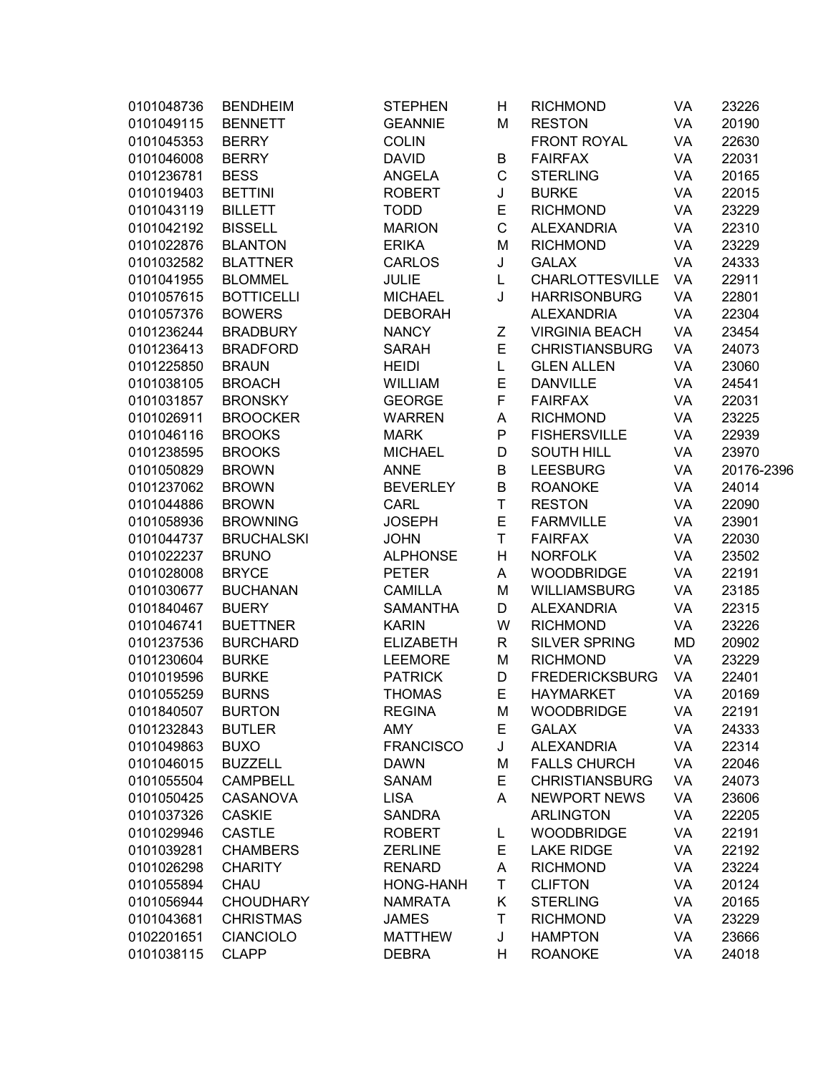| 0101048736 | <b>BENDHEIM</b>   | <b>STEPHEN</b>   | Н           | <b>RICHMOND</b>        | VA | 23226      |
|------------|-------------------|------------------|-------------|------------------------|----|------------|
| 0101049115 | <b>BENNETT</b>    | <b>GEANNIE</b>   | M           | <b>RESTON</b>          | VA | 20190      |
| 0101045353 | <b>BERRY</b>      | <b>COLIN</b>     |             | <b>FRONT ROYAL</b>     | VA | 22630      |
| 0101046008 | <b>BERRY</b>      | <b>DAVID</b>     | B           | <b>FAIRFAX</b>         | VA | 22031      |
| 0101236781 | <b>BESS</b>       | <b>ANGELA</b>    | $\mathsf C$ | <b>STERLING</b>        | VA | 20165      |
| 0101019403 | <b>BETTINI</b>    | <b>ROBERT</b>    | J           | <b>BURKE</b>           | VA | 22015      |
| 0101043119 | <b>BILLETT</b>    | <b>TODD</b>      | E           | <b>RICHMOND</b>        | VA | 23229      |
| 0101042192 | <b>BISSELL</b>    | <b>MARION</b>    | $\mathsf C$ | <b>ALEXANDRIA</b>      | VA | 22310      |
| 0101022876 | <b>BLANTON</b>    | <b>ERIKA</b>     | M           | <b>RICHMOND</b>        | VA | 23229      |
| 0101032582 | <b>BLATTNER</b>   | <b>CARLOS</b>    | J           | <b>GALAX</b>           | VA | 24333      |
| 0101041955 | <b>BLOMMEL</b>    | <b>JULIE</b>     | L           | <b>CHARLOTTESVILLE</b> | VA | 22911      |
| 0101057615 | <b>BOTTICELLI</b> | <b>MICHAEL</b>   | J           | <b>HARRISONBURG</b>    | VA | 22801      |
| 0101057376 | <b>BOWERS</b>     | <b>DEBORAH</b>   |             | <b>ALEXANDRIA</b>      | VA | 22304      |
| 0101236244 | <b>BRADBURY</b>   | <b>NANCY</b>     | Z           | <b>VIRGINIA BEACH</b>  | VA | 23454      |
| 0101236413 | <b>BRADFORD</b>   | <b>SARAH</b>     | E           | <b>CHRISTIANSBURG</b>  | VA | 24073      |
| 0101225850 | <b>BRAUN</b>      | <b>HEIDI</b>     | L           | <b>GLEN ALLEN</b>      | VA | 23060      |
| 0101038105 | <b>BROACH</b>     | <b>WILLIAM</b>   | E           | <b>DANVILLE</b>        | VA | 24541      |
| 0101031857 | <b>BRONSKY</b>    | <b>GEORGE</b>    | F           | <b>FAIRFAX</b>         | VA | 22031      |
| 0101026911 | <b>BROOCKER</b>   | <b>WARREN</b>    | Α           | <b>RICHMOND</b>        | VA | 23225      |
| 0101046116 | <b>BROOKS</b>     | <b>MARK</b>      | P           | <b>FISHERSVILLE</b>    | VA | 22939      |
| 0101238595 | <b>BROOKS</b>     | <b>MICHAEL</b>   | D           | <b>SOUTH HILL</b>      | VA | 23970      |
| 0101050829 | <b>BROWN</b>      | <b>ANNE</b>      | B           | <b>LEESBURG</b>        | VA | 20176-2396 |
| 0101237062 | <b>BROWN</b>      | <b>BEVERLEY</b>  | B           | <b>ROANOKE</b>         | VA | 24014      |
| 0101044886 | <b>BROWN</b>      | <b>CARL</b>      | $\top$      | <b>RESTON</b>          | VA | 22090      |
| 0101058936 | <b>BROWNING</b>   | <b>JOSEPH</b>    | E           | <b>FARMVILLE</b>       | VA | 23901      |
| 0101044737 | <b>BRUCHALSKI</b> | <b>JOHN</b>      | T           | <b>FAIRFAX</b>         | VA | 22030      |
| 0101022237 | <b>BRUNO</b>      | <b>ALPHONSE</b>  | H           | <b>NORFOLK</b>         | VA | 23502      |
| 0101028008 | <b>BRYCE</b>      | <b>PETER</b>     | Α           | <b>WOODBRIDGE</b>      | VA | 22191      |
| 0101030677 | <b>BUCHANAN</b>   | <b>CAMILLA</b>   | M           | <b>WILLIAMSBURG</b>    | VA | 23185      |
| 0101840467 | <b>BUERY</b>      | <b>SAMANTHA</b>  | D           | <b>ALEXANDRIA</b>      | VA | 22315      |
| 0101046741 | <b>BUETTNER</b>   | <b>KARIN</b>     | W           | <b>RICHMOND</b>        | VA | 23226      |
| 0101237536 | <b>BURCHARD</b>   | <b>ELIZABETH</b> | R           | <b>SILVER SPRING</b>   | MD | 20902      |
| 0101230604 | <b>BURKE</b>      | <b>LEEMORE</b>   | M           | <b>RICHMOND</b>        | VA | 23229      |
| 0101019596 | <b>BURKE</b>      | <b>PATRICK</b>   | D           | <b>FREDERICKSBURG</b>  | VA | 22401      |
| 0101055259 | <b>BURNS</b>      | <b>THOMAS</b>    | E           | <b>HAYMARKET</b>       | VA | 20169      |
| 0101840507 | <b>BURTON</b>     | <b>REGINA</b>    | M           | <b>WOODBRIDGE</b>      | VA | 22191      |
| 0101232843 | <b>BUTLER</b>     | AMY              | Ε           | <b>GALAX</b>           | VA | 24333      |
| 0101049863 | <b>BUXO</b>       | <b>FRANCISCO</b> | J           | <b>ALEXANDRIA</b>      | VA | 22314      |
| 0101046015 | <b>BUZZELL</b>    | <b>DAWN</b>      | M           | <b>FALLS CHURCH</b>    | VA | 22046      |
| 0101055504 | <b>CAMPBELL</b>   | <b>SANAM</b>     | E           | <b>CHRISTIANSBURG</b>  | VA | 24073      |
| 0101050425 | <b>CASANOVA</b>   | <b>LISA</b>      | A           | <b>NEWPORT NEWS</b>    | VA | 23606      |
| 0101037326 | <b>CASKIE</b>     | <b>SANDRA</b>    |             | <b>ARLINGTON</b>       | VA | 22205      |
| 0101029946 | <b>CASTLE</b>     | <b>ROBERT</b>    | L           | <b>WOODBRIDGE</b>      | VA | 22191      |
| 0101039281 | <b>CHAMBERS</b>   | <b>ZERLINE</b>   | E           | <b>LAKE RIDGE</b>      | VA | 22192      |
| 0101026298 | <b>CHARITY</b>    | <b>RENARD</b>    | Α           | <b>RICHMOND</b>        | VA | 23224      |
| 0101055894 | CHAU              | <b>HONG-HANH</b> | T           | <b>CLIFTON</b>         | VA | 20124      |
| 0101056944 | <b>CHOUDHARY</b>  | <b>NAMRATA</b>   | Κ           | <b>STERLING</b>        | VA | 20165      |
| 0101043681 | <b>CHRISTMAS</b>  | <b>JAMES</b>     | T           | <b>RICHMOND</b>        | VA | 23229      |
| 0102201651 | <b>CIANCIOLO</b>  | <b>MATTHEW</b>   | J           | <b>HAMPTON</b>         | VA | 23666      |
| 0101038115 | <b>CLAPP</b>      |                  |             | <b>ROANOKE</b>         | VA | 24018      |
|            |                   | <b>DEBRA</b>     | Н           |                        |    |            |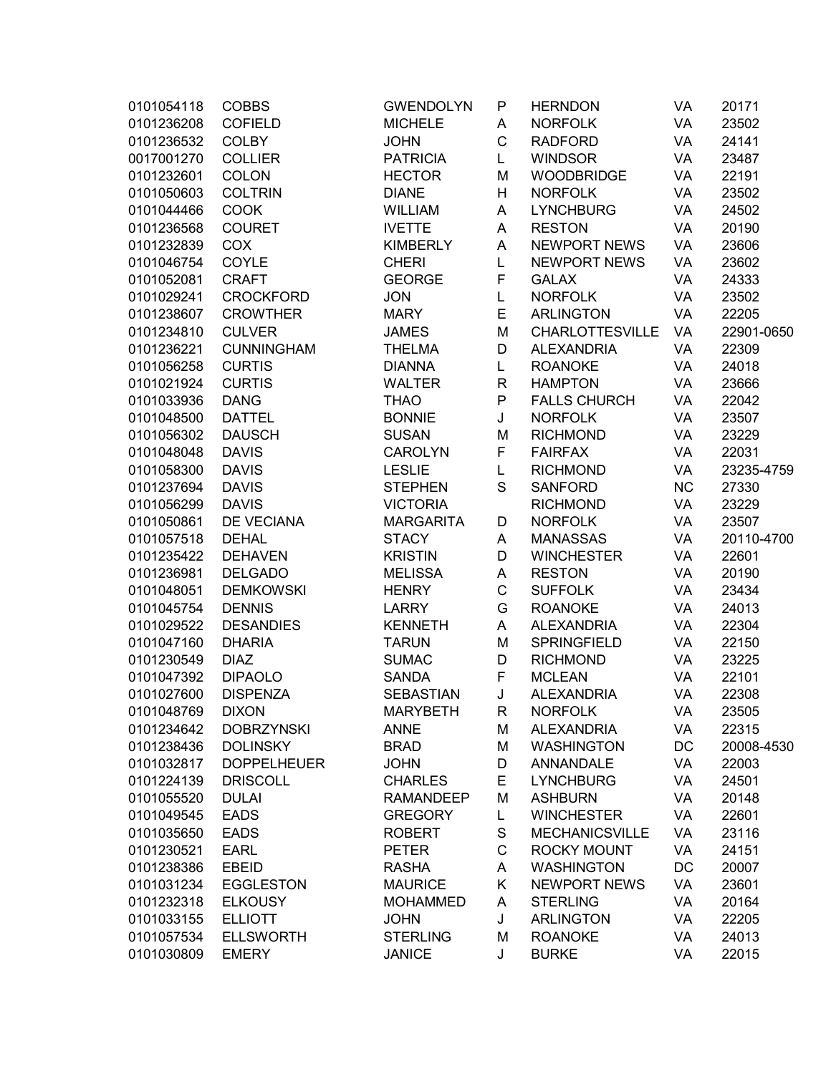| 0101054118 | <b>COBBS</b>       | <b>GWENDOLYN</b> | P           | <b>HERNDON</b>         | VA        | 20171      |
|------------|--------------------|------------------|-------------|------------------------|-----------|------------|
| 0101236208 | <b>COFIELD</b>     | <b>MICHELE</b>   | Α           | <b>NORFOLK</b>         | VA        | 23502      |
| 0101236532 | <b>COLBY</b>       | <b>JOHN</b>      | C           | <b>RADFORD</b>         | VA        | 24141      |
| 0017001270 | <b>COLLIER</b>     | <b>PATRICIA</b>  | L           | <b>WINDSOR</b>         | VA        | 23487      |
| 0101232601 | <b>COLON</b>       | <b>HECTOR</b>    | M           | <b>WOODBRIDGE</b>      | VA        | 22191      |
| 0101050603 | <b>COLTRIN</b>     | <b>DIANE</b>     | H           | <b>NORFOLK</b>         | VA        | 23502      |
| 0101044466 | <b>COOK</b>        | <b>WILLIAM</b>   | A           | <b>LYNCHBURG</b>       | VA        | 24502      |
| 0101236568 | <b>COURET</b>      | <b>IVETTE</b>    | A           | <b>RESTON</b>          | VA        | 20190      |
| 0101232839 | COX                | <b>KIMBERLY</b>  | Α           | <b>NEWPORT NEWS</b>    | VA        | 23606      |
| 0101046754 | COYLE              | <b>CHERI</b>     | L           | <b>NEWPORT NEWS</b>    | VA        | 23602      |
| 0101052081 | <b>CRAFT</b>       | <b>GEORGE</b>    | F           | <b>GALAX</b>           | VA        | 24333      |
| 0101029241 | <b>CROCKFORD</b>   | <b>JON</b>       | L           | <b>NORFOLK</b>         | VA        | 23502      |
| 0101238607 | <b>CROWTHER</b>    | <b>MARY</b>      | E           | <b>ARLINGTON</b>       | VA        | 22205      |
| 0101234810 | <b>CULVER</b>      | <b>JAMES</b>     | M           | <b>CHARLOTTESVILLE</b> | VA        | 22901-0650 |
| 0101236221 | <b>CUNNINGHAM</b>  | <b>THELMA</b>    | D           | <b>ALEXANDRIA</b>      | VA        | 22309      |
| 0101056258 | <b>CURTIS</b>      | <b>DIANNA</b>    | L           | <b>ROANOKE</b>         | VA        | 24018      |
| 0101021924 | <b>CURTIS</b>      | <b>WALTER</b>    | R           | <b>HAMPTON</b>         | VA        | 23666      |
| 0101033936 | <b>DANG</b>        | <b>THAO</b>      | P           | <b>FALLS CHURCH</b>    | VA        | 22042      |
| 0101048500 | <b>DATTEL</b>      | <b>BONNIE</b>    | J           | <b>NORFOLK</b>         | VA        | 23507      |
| 0101056302 | <b>DAUSCH</b>      | <b>SUSAN</b>     | M           | <b>RICHMOND</b>        | VA        | 23229      |
| 0101048048 | <b>DAVIS</b>       | <b>CAROLYN</b>   | F           | <b>FAIRFAX</b>         | VA        | 22031      |
| 0101058300 | <b>DAVIS</b>       | <b>LESLIE</b>    | L           | <b>RICHMOND</b>        | VA        | 23235-4759 |
| 0101237694 | <b>DAVIS</b>       | <b>STEPHEN</b>   | S           | <b>SANFORD</b>         | <b>NC</b> | 27330      |
| 0101056299 | <b>DAVIS</b>       | <b>VICTORIA</b>  |             | <b>RICHMOND</b>        | VA        | 23229      |
| 0101050861 | DE VECIANA         | <b>MARGARITA</b> | D           | <b>NORFOLK</b>         | VA        | 23507      |
| 0101057518 | <b>DEHAL</b>       | <b>STACY</b>     | Α           | <b>MANASSAS</b>        | VA        | 20110-4700 |
| 0101235422 | <b>DEHAVEN</b>     | <b>KRISTIN</b>   | D           | <b>WINCHESTER</b>      | VA        | 22601      |
| 0101236981 | <b>DELGADO</b>     | <b>MELISSA</b>   | Α           | <b>RESTON</b>          | VA        | 20190      |
| 0101048051 | <b>DEMKOWSKI</b>   | <b>HENRY</b>     | $\mathsf C$ | <b>SUFFOLK</b>         | VA        | 23434      |
| 0101045754 | <b>DENNIS</b>      | <b>LARRY</b>     | G           | <b>ROANOKE</b>         | VA        | 24013      |
| 0101029522 | <b>DESANDIES</b>   | <b>KENNETH</b>   | A           | <b>ALEXANDRIA</b>      | VA        | 22304      |
| 0101047160 | <b>DHARIA</b>      | <b>TARUN</b>     | M           | <b>SPRINGFIELD</b>     | VA        | 22150      |
| 0101230549 | <b>DIAZ</b>        | <b>SUMAC</b>     | D           | <b>RICHMOND</b>        | VA        | 23225      |
| 0101047392 | <b>DIPAOLO</b>     | <b>SANDA</b>     | F           | <b>MCLEAN</b>          | VA        | 22101      |
| 0101027600 | <b>DISPENZA</b>    | <b>SEBASTIAN</b> | J           | <b>ALEXANDRIA</b>      | VA        | 22308      |
| 0101048769 | <b>DIXON</b>       | <b>MARYBETH</b>  | R.          | <b>NORFOLK</b>         | VA        | 23505      |
| 0101234642 | <b>DOBRZYNSKI</b>  | <b>ANNE</b>      | M           | <b>ALEXANDRIA</b>      | VA        | 22315      |
| 0101238436 | <b>DOLINSKY</b>    | <b>BRAD</b>      | M           | <b>WASHINGTON</b>      | DC        | 20008-4530 |
| 0101032817 | <b>DOPPELHEUER</b> | <b>JOHN</b>      | D           | ANNANDALE              | VA        | 22003      |
| 0101224139 | <b>DRISCOLL</b>    | <b>CHARLES</b>   | E           | <b>LYNCHBURG</b>       | VA        | 24501      |
| 0101055520 | <b>DULAI</b>       | <b>RAMANDEEP</b> | M           | <b>ASHBURN</b>         | VA        | 20148      |
| 0101049545 | <b>EADS</b>        | <b>GREGORY</b>   | Г           | <b>WINCHESTER</b>      | VA        | 22601      |
| 0101035650 | <b>EADS</b>        | <b>ROBERT</b>    | $\mathbf S$ | <b>MECHANICSVILLE</b>  | VA        | 23116      |
| 0101230521 | <b>EARL</b>        | <b>PETER</b>     | C           | <b>ROCKY MOUNT</b>     | VA        | 24151      |
| 0101238386 | <b>EBEID</b>       | <b>RASHA</b>     | A           | <b>WASHINGTON</b>      | DC        | 20007      |
| 0101031234 | <b>EGGLESTON</b>   | <b>MAURICE</b>   | Κ           | <b>NEWPORT NEWS</b>    | VA        | 23601      |
| 0101232318 | <b>ELKOUSY</b>     | <b>MOHAMMED</b>  | Α           | <b>STERLING</b>        | VA        | 20164      |
| 0101033155 | <b>ELLIOTT</b>     | <b>JOHN</b>      | J           | <b>ARLINGTON</b>       | VA        | 22205      |
| 0101057534 | <b>ELLSWORTH</b>   | <b>STERLING</b>  | M           | <b>ROANOKE</b>         | VA        | 24013      |
| 0101030809 | <b>EMERY</b>       | <b>JANICE</b>    | J           | <b>BURKE</b>           | VA        | 22015      |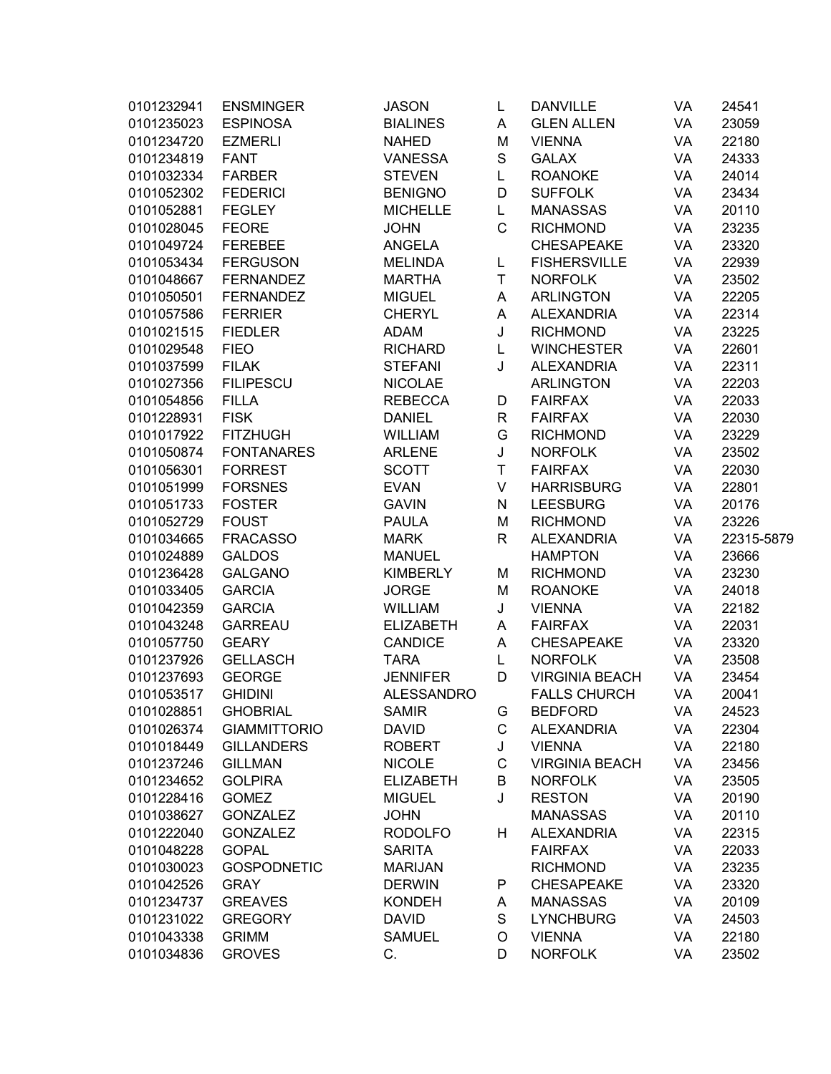| 0101232941 | <b>ENSMINGER</b>    | <b>JASON</b>      | L             | <b>DANVILLE</b>       | VA | 24541      |
|------------|---------------------|-------------------|---------------|-----------------------|----|------------|
| 0101235023 | <b>ESPINOSA</b>     | <b>BIALINES</b>   | Α             | <b>GLEN ALLEN</b>     | VA | 23059      |
| 0101234720 | <b>EZMERLI</b>      | <b>NAHED</b>      | M             | <b>VIENNA</b>         | VA | 22180      |
| 0101234819 | <b>FANT</b>         | <b>VANESSA</b>    | $\mathbf S$   | <b>GALAX</b>          | VA | 24333      |
| 0101032334 | <b>FARBER</b>       | <b>STEVEN</b>     | L             | <b>ROANOKE</b>        | VA | 24014      |
| 0101052302 | <b>FEDERICI</b>     | <b>BENIGNO</b>    | D             | <b>SUFFOLK</b>        | VA | 23434      |
| 0101052881 | <b>FEGLEY</b>       | <b>MICHELLE</b>   | L             | <b>MANASSAS</b>       | VA | 20110      |
| 0101028045 | <b>FEORE</b>        | <b>JOHN</b>       | $\mathsf C$   | <b>RICHMOND</b>       | VA | 23235      |
| 0101049724 | <b>FEREBEE</b>      | <b>ANGELA</b>     |               | <b>CHESAPEAKE</b>     | VA | 23320      |
| 0101053434 | <b>FERGUSON</b>     | <b>MELINDA</b>    | L             | <b>FISHERSVILLE</b>   | VA | 22939      |
| 0101048667 | <b>FERNANDEZ</b>    | <b>MARTHA</b>     | Τ             | <b>NORFOLK</b>        | VA | 23502      |
| 0101050501 | <b>FERNANDEZ</b>    | <b>MIGUEL</b>     | Α             | <b>ARLINGTON</b>      | VA | 22205      |
| 0101057586 | <b>FERRIER</b>      | <b>CHERYL</b>     | Α             | <b>ALEXANDRIA</b>     | VA | 22314      |
| 0101021515 | <b>FIEDLER</b>      | <b>ADAM</b>       | J             | <b>RICHMOND</b>       | VA | 23225      |
| 0101029548 | <b>FIEO</b>         | <b>RICHARD</b>    | L             | <b>WINCHESTER</b>     | VA | 22601      |
| 0101037599 | <b>FILAK</b>        | <b>STEFANI</b>    | J             | <b>ALEXANDRIA</b>     | VA | 22311      |
| 0101027356 | <b>FILIPESCU</b>    | <b>NICOLAE</b>    |               | <b>ARLINGTON</b>      | VA | 22203      |
| 0101054856 | <b>FILLA</b>        | <b>REBECCA</b>    | D             | <b>FAIRFAX</b>        | VA | 22033      |
| 0101228931 | <b>FISK</b>         | <b>DANIEL</b>     | $\mathsf{R}$  | <b>FAIRFAX</b>        | VA | 22030      |
| 0101017922 | <b>FITZHUGH</b>     | <b>WILLIAM</b>    | G             | <b>RICHMOND</b>       | VA | 23229      |
| 0101050874 | <b>FONTANARES</b>   | <b>ARLENE</b>     | J             | <b>NORFOLK</b>        | VA | 23502      |
| 0101056301 | <b>FORREST</b>      | <b>SCOTT</b>      | T             | <b>FAIRFAX</b>        | VA | 22030      |
| 0101051999 | <b>FORSNES</b>      | <b>EVAN</b>       | V             | <b>HARRISBURG</b>     | VA | 22801      |
| 0101051733 | <b>FOSTER</b>       | <b>GAVIN</b>      | $\mathsf{N}$  | <b>LEESBURG</b>       | VA | 20176      |
| 0101052729 | <b>FOUST</b>        | <b>PAULA</b>      | M             | <b>RICHMOND</b>       | VA | 23226      |
| 0101034665 | <b>FRACASSO</b>     | <b>MARK</b>       | $\mathsf{R}$  | <b>ALEXANDRIA</b>     | VA | 22315-5879 |
| 0101024889 | <b>GALDOS</b>       | <b>MANUEL</b>     |               | <b>HAMPTON</b>        | VA | 23666      |
| 0101236428 | <b>GALGANO</b>      | <b>KIMBERLY</b>   | M             | <b>RICHMOND</b>       | VA | 23230      |
| 0101033405 | <b>GARCIA</b>       | <b>JORGE</b>      | M             | <b>ROANOKE</b>        | VA | 24018      |
| 0101042359 | <b>GARCIA</b>       | <b>WILLIAM</b>    | J             | <b>VIENNA</b>         | VA | 22182      |
| 0101043248 | <b>GARREAU</b>      | <b>ELIZABETH</b>  | A             | <b>FAIRFAX</b>        | VA | 22031      |
| 0101057750 | <b>GEARY</b>        | <b>CANDICE</b>    | Α             | <b>CHESAPEAKE</b>     | VA | 23320      |
| 0101237926 | <b>GELLASCH</b>     | <b>TARA</b>       | L             | <b>NORFOLK</b>        | VA | 23508      |
| 0101237693 | <b>GEORGE</b>       | <b>JENNIFER</b>   | D             | <b>VIRGINIA BEACH</b> | VA | 23454      |
| 0101053517 | <b>GHIDINI</b>      | <b>ALESSANDRO</b> |               | <b>FALLS CHURCH</b>   | VA | 20041      |
| 0101028851 | <b>GHOBRIAL</b>     | <b>SAMIR</b>      | G             | <b>BEDFORD</b>        | VA | 24523      |
| 0101026374 | <b>GIAMMITTORIO</b> | <b>DAVID</b>      | $\mathsf C$   | <b>ALEXANDRIA</b>     | VA | 22304      |
| 0101018449 | <b>GILLANDERS</b>   | <b>ROBERT</b>     | J             | <b>VIENNA</b>         | VA | 22180      |
| 0101237246 | <b>GILLMAN</b>      | <b>NICOLE</b>     | $\mathsf C$   | <b>VIRGINIA BEACH</b> | VA | 23456      |
| 0101234652 | <b>GOLPIRA</b>      | <b>ELIZABETH</b>  | B             | <b>NORFOLK</b>        | VA | 23505      |
| 0101228416 | <b>GOMEZ</b>        | <b>MIGUEL</b>     | J             | <b>RESTON</b>         | VA | 20190      |
| 0101038627 | <b>GONZALEZ</b>     | <b>JOHN</b>       |               | <b>MANASSAS</b>       | VA | 20110      |
| 0101222040 | <b>GONZALEZ</b>     | <b>RODOLFO</b>    | H             | <b>ALEXANDRIA</b>     | VA | 22315      |
| 0101048228 | <b>GOPAL</b>        | <b>SARITA</b>     |               | <b>FAIRFAX</b>        | VA | 22033      |
| 0101030023 | <b>GOSPODNETIC</b>  | <b>MARIJAN</b>    |               | <b>RICHMOND</b>       | VA | 23235      |
|            |                     |                   |               |                       |    |            |
| 0101042526 | <b>GRAY</b>         | <b>DERWIN</b>     | P             | <b>CHESAPEAKE</b>     | VA | 23320      |
| 0101234737 | <b>GREAVES</b>      | <b>KONDEH</b>     | Α             | <b>MANASSAS</b>       | VA | 20109      |
| 0101231022 | <b>GREGORY</b>      | <b>DAVID</b>      | ${\mathsf S}$ | <b>LYNCHBURG</b>      | VA | 24503      |
| 0101043338 | <b>GRIMM</b>        | <b>SAMUEL</b>     | O             | <b>VIENNA</b>         | VA | 22180      |
| 0101034836 | <b>GROVES</b>       | С.                | D             | <b>NORFOLK</b>        | VA | 23502      |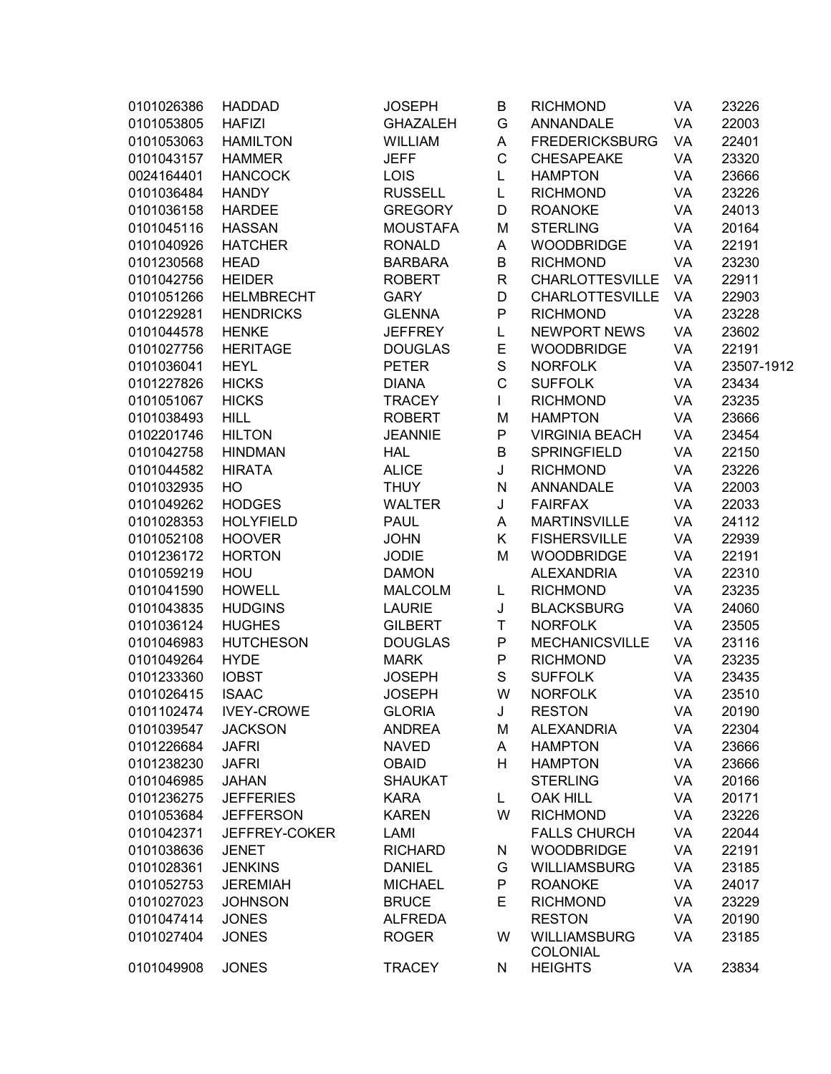| 0101026386 | <b>HADDAD</b>     | <b>JOSEPH</b>   | B            | <b>RICHMOND</b>                        | VA | 23226      |
|------------|-------------------|-----------------|--------------|----------------------------------------|----|------------|
| 0101053805 | <b>HAFIZI</b>     | <b>GHAZALEH</b> | G            | <b>ANNANDALE</b>                       | VA | 22003      |
| 0101053063 | <b>HAMILTON</b>   | <b>WILLIAM</b>  | Α            | <b>FREDERICKSBURG</b>                  | VA | 22401      |
| 0101043157 | <b>HAMMER</b>     | <b>JEFF</b>     | C            | <b>CHESAPEAKE</b>                      | VA | 23320      |
| 0024164401 | <b>HANCOCK</b>    | <b>LOIS</b>     | L            | <b>HAMPTON</b>                         | VA | 23666      |
| 0101036484 | <b>HANDY</b>      | <b>RUSSELL</b>  | L            | <b>RICHMOND</b>                        | VA | 23226      |
| 0101036158 | <b>HARDEE</b>     | <b>GREGORY</b>  | D            | <b>ROANOKE</b>                         | VA | 24013      |
| 0101045116 | <b>HASSAN</b>     | <b>MOUSTAFA</b> | M            | <b>STERLING</b>                        | VA | 20164      |
| 0101040926 | <b>HATCHER</b>    | <b>RONALD</b>   | Α            | <b>WOODBRIDGE</b>                      | VA | 22191      |
| 0101230568 | <b>HEAD</b>       | <b>BARBARA</b>  | B            | <b>RICHMOND</b>                        | VA | 23230      |
| 0101042756 | <b>HEIDER</b>     | <b>ROBERT</b>   | R            | <b>CHARLOTTESVILLE</b>                 | VA | 22911      |
| 0101051266 | <b>HELMBRECHT</b> | <b>GARY</b>     | D            | <b>CHARLOTTESVILLE</b>                 | VA | 22903      |
| 0101229281 | <b>HENDRICKS</b>  | <b>GLENNA</b>   | P            | <b>RICHMOND</b>                        | VA | 23228      |
| 0101044578 | <b>HENKE</b>      | <b>JEFFREY</b>  | L            | <b>NEWPORT NEWS</b>                    | VA | 23602      |
| 0101027756 | <b>HERITAGE</b>   | <b>DOUGLAS</b>  | E            | <b>WOODBRIDGE</b>                      | VA | 22191      |
| 0101036041 | <b>HEYL</b>       | <b>PETER</b>    | $\mathbf S$  | <b>NORFOLK</b>                         | VA | 23507-1912 |
| 0101227826 | <b>HICKS</b>      | <b>DIANA</b>    | $\mathsf{C}$ | <b>SUFFOLK</b>                         | VA | 23434      |
| 0101051067 | <b>HICKS</b>      | <b>TRACEY</b>   | L            | <b>RICHMOND</b>                        | VA | 23235      |
| 0101038493 | <b>HILL</b>       | <b>ROBERT</b>   | M            | <b>HAMPTON</b>                         | VA | 23666      |
| 0102201746 | <b>HILTON</b>     | <b>JEANNIE</b>  | P            | <b>VIRGINIA BEACH</b>                  | VA | 23454      |
| 0101042758 | <b>HINDMAN</b>    | <b>HAL</b>      | B            | <b>SPRINGFIELD</b>                     | VA | 22150      |
| 0101044582 | <b>HIRATA</b>     | <b>ALICE</b>    | J            | <b>RICHMOND</b>                        | VA | 23226      |
| 0101032935 | HO                | <b>THUY</b>     | N            | ANNANDALE                              | VA | 22003      |
| 0101049262 | <b>HODGES</b>     | <b>WALTER</b>   | J            | <b>FAIRFAX</b>                         | VA | 22033      |
| 0101028353 | <b>HOLYFIELD</b>  | <b>PAUL</b>     | A            | <b>MARTINSVILLE</b>                    | VA | 24112      |
| 0101052108 | <b>HOOVER</b>     | <b>JOHN</b>     | Κ            | <b>FISHERSVILLE</b>                    | VA | 22939      |
| 0101236172 | <b>HORTON</b>     | <b>JODIE</b>    | M            | <b>WOODBRIDGE</b>                      | VA | 22191      |
| 0101059219 | HOU               | <b>DAMON</b>    |              | <b>ALEXANDRIA</b>                      | VA | 22310      |
| 0101041590 | <b>HOWELL</b>     | <b>MALCOLM</b>  | L            | <b>RICHMOND</b>                        | VA | 23235      |
| 0101043835 | <b>HUDGINS</b>    | <b>LAURIE</b>   | J            | <b>BLACKSBURG</b>                      | VA | 24060      |
| 0101036124 | <b>HUGHES</b>     | <b>GILBERT</b>  | T            | <b>NORFOLK</b>                         | VA | 23505      |
| 0101046983 | <b>HUTCHESON</b>  | <b>DOUGLAS</b>  | P            | MECHANICSVILLE                         | VA | 23116      |
| 0101049264 | <b>HYDE</b>       | <b>MARK</b>     | P            | <b>RICHMOND</b>                        | VA | 23235      |
| 0101233360 | <b>IOBST</b>      | <b>JOSEPH</b>   | S            | <b>SUFFOLK</b>                         | VA | 23435      |
| 0101026415 | <b>ISAAC</b>      | <b>JOSEPH</b>   | W            | <b>NORFOLK</b>                         | VA | 23510      |
| 0101102474 | <b>IVEY-CROWE</b> | <b>GLORIA</b>   | J            | <b>RESTON</b>                          | VA | 20190      |
| 0101039547 | <b>JACKSON</b>    | <b>ANDREA</b>   | M            | <b>ALEXANDRIA</b>                      | VA | 22304      |
| 0101226684 | <b>JAFRI</b>      | <b>NAVED</b>    | A            | <b>HAMPTON</b>                         | VA | 23666      |
| 0101238230 | <b>JAFRI</b>      | <b>OBAID</b>    | н            | <b>HAMPTON</b>                         | VA | 23666      |
| 0101046985 | <b>JAHAN</b>      | <b>SHAUKAT</b>  |              | <b>STERLING</b>                        | VA | 20166      |
| 0101236275 | <b>JEFFERIES</b>  | <b>KARA</b>     | L            | <b>OAK HILL</b>                        | VA | 20171      |
| 0101053684 | <b>JEFFERSON</b>  | <b>KAREN</b>    | W            | <b>RICHMOND</b>                        | VA | 23226      |
| 0101042371 | JEFFREY-COKER     | LAMI            |              | <b>FALLS CHURCH</b>                    | VA | 22044      |
| 0101038636 |                   | <b>RICHARD</b>  |              | <b>WOODBRIDGE</b>                      | VA | 22191      |
| 0101028361 | <b>JENET</b>      |                 | N<br>G       | <b>WILLIAMSBURG</b>                    |    | 23185      |
|            | <b>JENKINS</b>    | <b>DANIEL</b>   |              |                                        | VA |            |
| 0101052753 | <b>JEREMIAH</b>   | <b>MICHAEL</b>  | P            | <b>ROANOKE</b>                         | VA | 24017      |
| 0101027023 | <b>JOHNSON</b>    | <b>BRUCE</b>    | Е            | <b>RICHMOND</b>                        | VA | 23229      |
| 0101047414 | <b>JONES</b>      | <b>ALFREDA</b>  |              | <b>RESTON</b>                          | VA | 20190      |
| 0101027404 | <b>JONES</b>      | <b>ROGER</b>    | W            | <b>WILLIAMSBURG</b><br><b>COLONIAL</b> | VA | 23185      |
| 0101049908 | <b>JONES</b>      | <b>TRACEY</b>   | N            | <b>HEIGHTS</b>                         | VA | 23834      |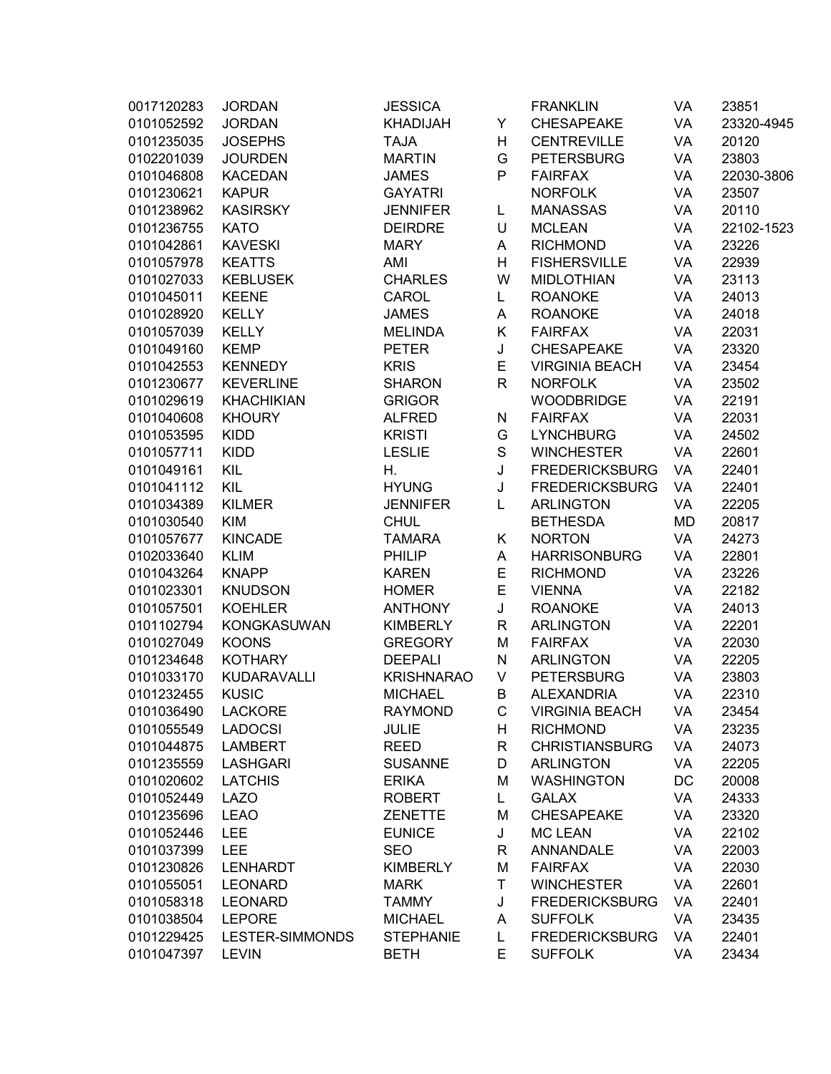| 0017120283 | <b>JORDAN</b>      | <b>JESSICA</b>    |              | <b>FRANKLIN</b>       | VA        | 23851      |
|------------|--------------------|-------------------|--------------|-----------------------|-----------|------------|
| 0101052592 | <b>JORDAN</b>      | <b>KHADIJAH</b>   | Υ            | <b>CHESAPEAKE</b>     | VA        | 23320-4945 |
| 0101235035 | <b>JOSEPHS</b>     | <b>TAJA</b>       | н            | <b>CENTREVILLE</b>    | VA        | 20120      |
| 0102201039 | <b>JOURDEN</b>     | <b>MARTIN</b>     | G            | <b>PETERSBURG</b>     | VA        | 23803      |
| 0101046808 | <b>KACEDAN</b>     | <b>JAMES</b>      | P            | <b>FAIRFAX</b>        | VA        | 22030-3806 |
| 0101230621 | <b>KAPUR</b>       | <b>GAYATRI</b>    |              | <b>NORFOLK</b>        | VA        | 23507      |
| 0101238962 | <b>KASIRSKY</b>    | <b>JENNIFER</b>   | L            | <b>MANASSAS</b>       | VA        | 20110      |
| 0101236755 | <b>KATO</b>        | <b>DEIRDRE</b>    | U            | <b>MCLEAN</b>         | VA        | 22102-1523 |
| 0101042861 | <b>KAVESKI</b>     | <b>MARY</b>       | A            | <b>RICHMOND</b>       | VA        | 23226      |
| 0101057978 | <b>KEATTS</b>      | AMI               | н            | <b>FISHERSVILLE</b>   | VA        | 22939      |
| 0101027033 | <b>KEBLUSEK</b>    | <b>CHARLES</b>    | W            | <b>MIDLOTHIAN</b>     | VA        | 23113      |
| 0101045011 | <b>KEENE</b>       | CAROL             | L            | <b>ROANOKE</b>        | VA        | 24013      |
| 0101028920 | <b>KELLY</b>       | <b>JAMES</b>      | Α            | <b>ROANOKE</b>        | VA        | 24018      |
| 0101057039 | <b>KELLY</b>       | <b>MELINDA</b>    | Κ            | <b>FAIRFAX</b>        | VA        | 22031      |
| 0101049160 | <b>KEMP</b>        | <b>PETER</b>      | J            | <b>CHESAPEAKE</b>     | VA        | 23320      |
| 0101042553 | <b>KENNEDY</b>     | <b>KRIS</b>       | E            | <b>VIRGINIA BEACH</b> | VA        | 23454      |
| 0101230677 | <b>KEVERLINE</b>   | <b>SHARON</b>     | $\mathsf{R}$ | <b>NORFOLK</b>        | VA        | 23502      |
| 0101029619 | <b>KHACHIKIAN</b>  | <b>GRIGOR</b>     |              | <b>WOODBRIDGE</b>     | VA        | 22191      |
| 0101040608 | <b>KHOURY</b>      | <b>ALFRED</b>     | N            | <b>FAIRFAX</b>        | VA        | 22031      |
| 0101053595 | <b>KIDD</b>        | <b>KRISTI</b>     | G            | <b>LYNCHBURG</b>      | VA        | 24502      |
| 0101057711 | <b>KIDD</b>        | <b>LESLIE</b>     | S            | <b>WINCHESTER</b>     | VA        | 22601      |
| 0101049161 | <b>KIL</b>         | Η.                | J            | <b>FREDERICKSBURG</b> | VA        | 22401      |
| 0101041112 | KIL                | <b>HYUNG</b>      | J            | <b>FREDERICKSBURG</b> | VA        | 22401      |
| 0101034389 | <b>KILMER</b>      | <b>JENNIFER</b>   | L            | <b>ARLINGTON</b>      | VA        | 22205      |
| 0101030540 | <b>KIM</b>         | <b>CHUL</b>       |              | <b>BETHESDA</b>       | <b>MD</b> | 20817      |
| 0101057677 | <b>KINCADE</b>     | <b>TAMARA</b>     | Κ            | <b>NORTON</b>         | VA        | 24273      |
| 0102033640 | <b>KLIM</b>        | <b>PHILIP</b>     | Α            | <b>HARRISONBURG</b>   | VA        | 22801      |
| 0101043264 | <b>KNAPP</b>       | <b>KAREN</b>      | E            | <b>RICHMOND</b>       | VA        | 23226      |
| 0101023301 | <b>KNUDSON</b>     | <b>HOMER</b>      | E            | <b>VIENNA</b>         | VA        | 22182      |
| 0101057501 | <b>KOEHLER</b>     | <b>ANTHONY</b>    | J            | <b>ROANOKE</b>        | VA        | 24013      |
| 0101102794 | <b>KONGKASUWAN</b> | <b>KIMBERLY</b>   | $\mathsf{R}$ | <b>ARLINGTON</b>      | VA        | 22201      |
| 0101027049 | <b>KOONS</b>       | <b>GREGORY</b>    | M            | <b>FAIRFAX</b>        | VA        | 22030      |
| 0101234648 | <b>KOTHARY</b>     | <b>DEEPALI</b>    | N            | <b>ARLINGTON</b>      | VA        | 22205      |
| 0101033170 | <b>KUDARAVALLI</b> | <b>KRISHNARAO</b> | V            | <b>PETERSBURG</b>     | VA        | 23803      |
| 0101232455 | <b>KUSIC</b>       | <b>MICHAEL</b>    | B            | <b>ALEXANDRIA</b>     | VA        | 22310      |
| 0101036490 | <b>LACKORE</b>     | <b>RAYMOND</b>    | $\mathsf C$  | <b>VIRGINIA BEACH</b> | VA        | 23454      |
| 0101055549 | <b>LADOCSI</b>     | <b>JULIE</b>      | н            | <b>RICHMOND</b>       | VA        | 23235      |
| 0101044875 | <b>LAMBERT</b>     | <b>REED</b>       | R            | <b>CHRISTIANSBURG</b> | VA        | 24073      |
| 0101235559 | <b>LASHGARI</b>    | <b>SUSANNE</b>    | D            | <b>ARLINGTON</b>      | VA        | 22205      |
| 0101020602 | <b>LATCHIS</b>     | <b>ERIKA</b>      | M            | <b>WASHINGTON</b>     | DC        | 20008      |
| 0101052449 | <b>LAZO</b>        | <b>ROBERT</b>     | Г            | <b>GALAX</b>          | VA        | 24333      |
| 0101235696 | <b>LEAO</b>        | <b>ZENETTE</b>    | M            | <b>CHESAPEAKE</b>     | VA        | 23320      |
| 0101052446 | <b>LEE</b>         | <b>EUNICE</b>     | J            | <b>MC LEAN</b>        | VA        | 22102      |
| 0101037399 | <b>LEE</b>         | <b>SEO</b>        | R            | <b>ANNANDALE</b>      | VA        | 22003      |
| 0101230826 | <b>LENHARDT</b>    | <b>KIMBERLY</b>   | M            | <b>FAIRFAX</b>        | VA        | 22030      |
| 0101055051 | <b>LEONARD</b>     | <b>MARK</b>       | T            | <b>WINCHESTER</b>     | VA        | 22601      |
| 0101058318 | <b>LEONARD</b>     | <b>TAMMY</b>      | J            | <b>FREDERICKSBURG</b> | VA        | 22401      |
| 0101038504 | <b>LEPORE</b>      | <b>MICHAEL</b>    | A            | <b>SUFFOLK</b>        | VA        | 23435      |
| 0101229425 | LESTER-SIMMONDS    | <b>STEPHANIE</b>  | Г            | <b>FREDERICKSBURG</b> | VA        | 22401      |
| 0101047397 | <b>LEVIN</b>       | <b>BETH</b>       | E            | <b>SUFFOLK</b>        | VA        | 23434      |
|            |                    |                   |              |                       |           |            |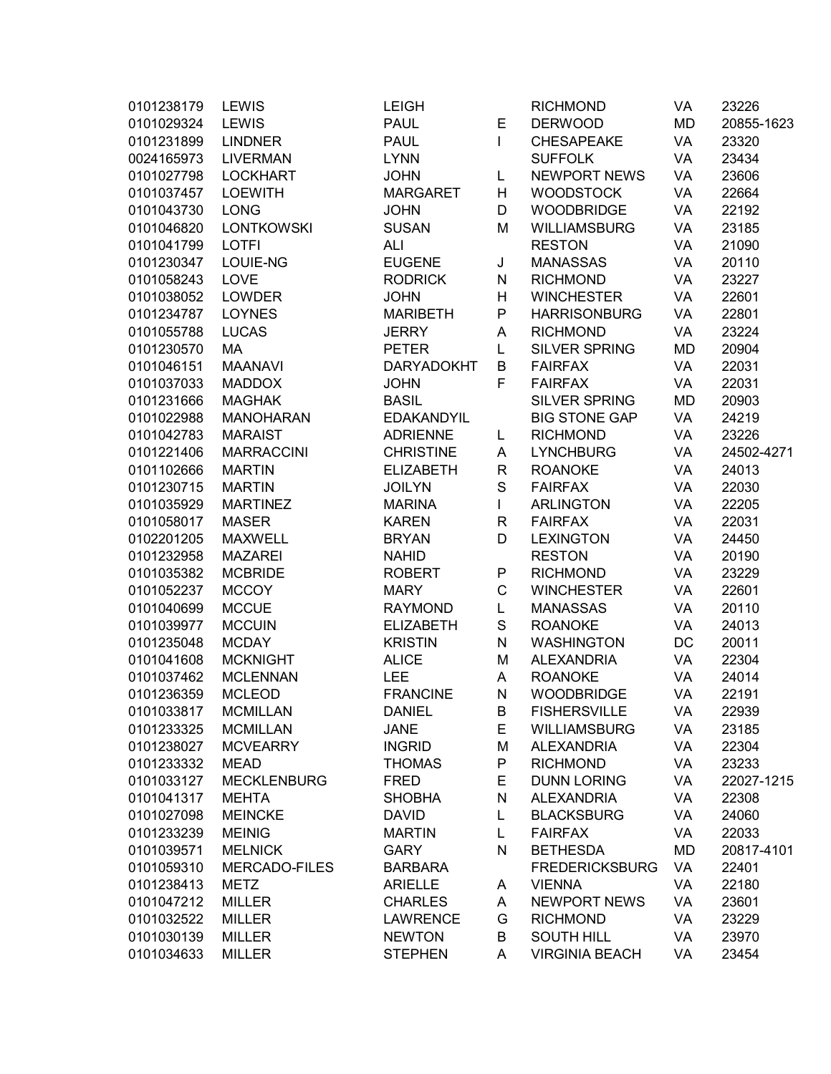| 0101238179 | LEWIS                | <b>LEIGH</b>      |              | <b>RICHMOND</b>       | VA | 23226      |
|------------|----------------------|-------------------|--------------|-----------------------|----|------------|
| 0101029324 | <b>LEWIS</b>         | <b>PAUL</b>       | Е            | <b>DERWOOD</b>        | MD | 20855-1623 |
| 0101231899 | <b>LINDNER</b>       | <b>PAUL</b>       | $\mathsf{I}$ | <b>CHESAPEAKE</b>     | VA | 23320      |
| 0024165973 | <b>LIVERMAN</b>      | <b>LYNN</b>       |              | <b>SUFFOLK</b>        | VA | 23434      |
| 0101027798 | <b>LOCKHART</b>      | <b>JOHN</b>       | L            | <b>NEWPORT NEWS</b>   | VA | 23606      |
| 0101037457 | <b>LOEWITH</b>       | <b>MARGARET</b>   | Н            | <b>WOODSTOCK</b>      | VA | 22664      |
| 0101043730 | <b>LONG</b>          | <b>JOHN</b>       | D            | <b>WOODBRIDGE</b>     | VA | 22192      |
| 0101046820 | <b>LONTKOWSKI</b>    | <b>SUSAN</b>      | M            | <b>WILLIAMSBURG</b>   | VA | 23185      |
| 0101041799 | <b>LOTFI</b>         | ALI               |              | <b>RESTON</b>         | VA | 21090      |
| 0101230347 | LOUIE-NG             | <b>EUGENE</b>     | J            | <b>MANASSAS</b>       | VA | 20110      |
| 0101058243 | LOVE                 | <b>RODRICK</b>    | ${\sf N}$    | <b>RICHMOND</b>       | VA | 23227      |
| 0101038052 | <b>LOWDER</b>        | <b>JOHN</b>       | H            | <b>WINCHESTER</b>     | VA | 22601      |
| 0101234787 | <b>LOYNES</b>        | <b>MARIBETH</b>   | P            | <b>HARRISONBURG</b>   | VA | 22801      |
| 0101055788 | <b>LUCAS</b>         | <b>JERRY</b>      | A            | <b>RICHMOND</b>       | VA | 23224      |
| 0101230570 | MA                   | <b>PETER</b>      | L            | <b>SILVER SPRING</b>  | MD | 20904      |
| 0101046151 | <b>MAANAVI</b>       | <b>DARYADOKHT</b> | B            | <b>FAIRFAX</b>        | VA | 22031      |
| 0101037033 | <b>MADDOX</b>        | <b>JOHN</b>       | F            | <b>FAIRFAX</b>        | VA | 22031      |
| 0101231666 | <b>MAGHAK</b>        | <b>BASIL</b>      |              | <b>SILVER SPRING</b>  | MD | 20903      |
| 0101022988 | <b>MANOHARAN</b>     | <b>EDAKANDYIL</b> |              | <b>BIG STONE GAP</b>  | VA | 24219      |
| 0101042783 | <b>MARAIST</b>       | <b>ADRIENNE</b>   | L            | <b>RICHMOND</b>       | VA | 23226      |
| 0101221406 | <b>MARRACCINI</b>    | <b>CHRISTINE</b>  | A            | <b>LYNCHBURG</b>      | VA | 24502-4271 |
| 0101102666 | <b>MARTIN</b>        | <b>ELIZABETH</b>  | $\mathsf{R}$ | <b>ROANOKE</b>        | VA | 24013      |
| 0101230715 | <b>MARTIN</b>        | <b>JOILYN</b>     | $\mathbf S$  | <b>FAIRFAX</b>        | VA | 22030      |
| 0101035929 | <b>MARTINEZ</b>      | <b>MARINA</b>     | L            | <b>ARLINGTON</b>      | VA | 22205      |
| 0101058017 | <b>MASER</b>         | <b>KAREN</b>      | $\mathsf{R}$ | <b>FAIRFAX</b>        | VA | 22031      |
| 0102201205 | <b>MAXWELL</b>       | <b>BRYAN</b>      | D            | <b>LEXINGTON</b>      | VA | 24450      |
| 0101232958 | <b>MAZAREI</b>       | <b>NAHID</b>      |              | <b>RESTON</b>         | VA | 20190      |
| 0101035382 | <b>MCBRIDE</b>       | <b>ROBERT</b>     | ${\sf P}$    | <b>RICHMOND</b>       | VA | 23229      |
| 0101052237 | <b>MCCOY</b>         | <b>MARY</b>       | C            | <b>WINCHESTER</b>     | VA | 22601      |
| 0101040699 | <b>MCCUE</b>         | <b>RAYMOND</b>    | L            | <b>MANASSAS</b>       | VA | 20110      |
| 0101039977 | <b>MCCUIN</b>        | <b>ELIZABETH</b>  | S            | <b>ROANOKE</b>        | VA | 24013      |
| 0101235048 | <b>MCDAY</b>         | <b>KRISTIN</b>    | N            | <b>WASHINGTON</b>     | DC | 20011      |
| 0101041608 | <b>MCKNIGHT</b>      | <b>ALICE</b>      | M            | <b>ALEXANDRIA</b>     | VA | 22304      |
| 0101037462 | <b>MCLENNAN</b>      | LEE               | Α            | <b>ROANOKE</b>        | VA | 24014      |
| 0101236359 | <b>MCLEOD</b>        | <b>FRANCINE</b>   | ${\sf N}$    | <b>WOODBRIDGE</b>     | VA | 22191      |
| 0101033817 | <b>MCMILLAN</b>      | <b>DANIEL</b>     | $\sf B$      | <b>FISHERSVILLE</b>   | VA | 22939      |
| 0101233325 | <b>MCMILLAN</b>      | <b>JANE</b>       | Е            | <b>WILLIAMSBURG</b>   | VA | 23185      |
| 0101238027 | <b>MCVEARRY</b>      | <b>INGRID</b>     | M            | <b>ALEXANDRIA</b>     | VA | 22304      |
| 0101233332 | <b>MEAD</b>          | <b>THOMAS</b>     | ${\sf P}$    | <b>RICHMOND</b>       | VA | 23233      |
| 0101033127 | <b>MECKLENBURG</b>   | <b>FRED</b>       | E            | <b>DUNN LORING</b>    | VA | 22027-1215 |
| 0101041317 | <b>MEHTA</b>         | <b>SHOBHA</b>     | ${\sf N}$    | <b>ALEXANDRIA</b>     | VA | 22308      |
| 0101027098 | <b>MEINCKE</b>       | <b>DAVID</b>      | L            | <b>BLACKSBURG</b>     | VA | 24060      |
| 0101233239 | <b>MEINIG</b>        | <b>MARTIN</b>     | L            | <b>FAIRFAX</b>        | VA | 22033      |
| 0101039571 | <b>MELNICK</b>       | <b>GARY</b>       | N            | <b>BETHESDA</b>       | MD | 20817-4101 |
| 0101059310 | <b>MERCADO-FILES</b> | <b>BARBARA</b>    |              | <b>FREDERICKSBURG</b> | VA | 22401      |
| 0101238413 | <b>METZ</b>          | <b>ARIELLE</b>    | A            | <b>VIENNA</b>         | VA | 22180      |
| 0101047212 | <b>MILLER</b>        | <b>CHARLES</b>    | A            | <b>NEWPORT NEWS</b>   | VA | 23601      |
| 0101032522 | <b>MILLER</b>        | <b>LAWRENCE</b>   | G            | <b>RICHMOND</b>       | VA | 23229      |
| 0101030139 | <b>MILLER</b>        | <b>NEWTON</b>     | B            | <b>SOUTH HILL</b>     | VA | 23970      |
| 0101034633 | <b>MILLER</b>        | <b>STEPHEN</b>    | A            | <b>VIRGINIA BEACH</b> | VA | 23454      |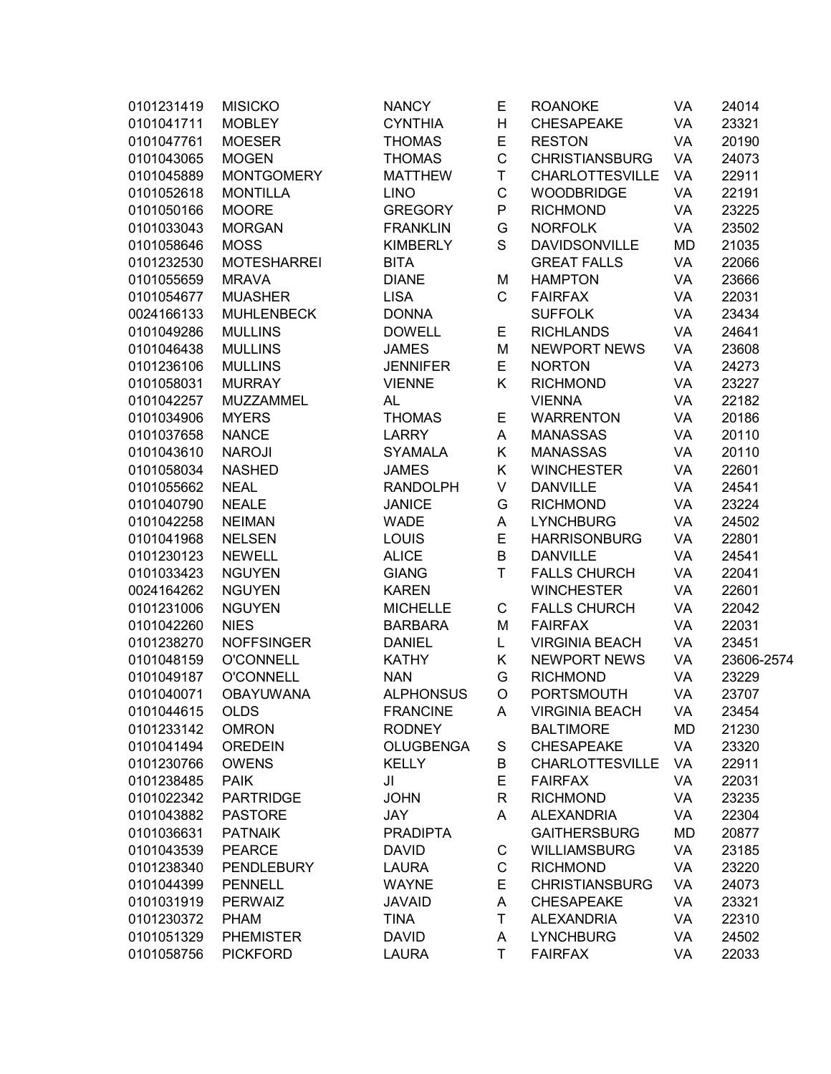| 0101231419 | <b>MISICKO</b>     | <b>NANCY</b>     | E           | <b>ROANOKE</b>         | VA | 24014      |
|------------|--------------------|------------------|-------------|------------------------|----|------------|
| 0101041711 | <b>MOBLEY</b>      | <b>CYNTHIA</b>   | Η           | <b>CHESAPEAKE</b>      | VA | 23321      |
| 0101047761 | <b>MOESER</b>      | <b>THOMAS</b>    | E           | <b>RESTON</b>          | VA | 20190      |
| 0101043065 | <b>MOGEN</b>       | <b>THOMAS</b>    | $\mathsf C$ | <b>CHRISTIANSBURG</b>  | VA | 24073      |
| 0101045889 | <b>MONTGOMERY</b>  | <b>MATTHEW</b>   | T           | <b>CHARLOTTESVILLE</b> | VA | 22911      |
| 0101052618 | <b>MONTILLA</b>    | <b>LINO</b>      | $\mathsf C$ | <b>WOODBRIDGE</b>      | VA | 22191      |
| 0101050166 | <b>MOORE</b>       | <b>GREGORY</b>   | P           | <b>RICHMOND</b>        | VA | 23225      |
| 0101033043 | <b>MORGAN</b>      | <b>FRANKLIN</b>  | G           | <b>NORFOLK</b>         | VA | 23502      |
| 0101058646 | <b>MOSS</b>        | <b>KIMBERLY</b>  | S           | <b>DAVIDSONVILLE</b>   | MD | 21035      |
| 0101232530 | <b>MOTESHARREI</b> | <b>BITA</b>      |             | <b>GREAT FALLS</b>     | VA | 22066      |
| 0101055659 | <b>MRAVA</b>       | <b>DIANE</b>     | M           | <b>HAMPTON</b>         | VA | 23666      |
| 0101054677 | <b>MUASHER</b>     | <b>LISA</b>      | C           | <b>FAIRFAX</b>         | VA | 22031      |
| 0024166133 | <b>MUHLENBECK</b>  | <b>DONNA</b>     |             | <b>SUFFOLK</b>         | VA | 23434      |
| 0101049286 | <b>MULLINS</b>     | <b>DOWELL</b>    | Е           | <b>RICHLANDS</b>       | VA | 24641      |
| 0101046438 | <b>MULLINS</b>     | <b>JAMES</b>     | M           | <b>NEWPORT NEWS</b>    | VA | 23608      |
| 0101236106 | <b>MULLINS</b>     | <b>JENNIFER</b>  | E           | <b>NORTON</b>          | VA | 24273      |
| 0101058031 | <b>MURRAY</b>      | <b>VIENNE</b>    | Κ           | <b>RICHMOND</b>        | VA | 23227      |
| 0101042257 | MUZZAMMEL          | <b>AL</b>        |             | <b>VIENNA</b>          | VA | 22182      |
| 0101034906 | <b>MYERS</b>       | <b>THOMAS</b>    | E           | <b>WARRENTON</b>       | VA | 20186      |
| 0101037658 | <b>NANCE</b>       | <b>LARRY</b>     | Α           | <b>MANASSAS</b>        | VA | 20110      |
| 0101043610 | <b>NAROJI</b>      | <b>SYAMALA</b>   | Κ           | <b>MANASSAS</b>        | VA | 20110      |
| 0101058034 | <b>NASHED</b>      | <b>JAMES</b>     | Κ           | <b>WINCHESTER</b>      | VA | 22601      |
| 0101055662 | <b>NEAL</b>        | <b>RANDOLPH</b>  | V           | <b>DANVILLE</b>        | VA | 24541      |
| 0101040790 | <b>NEALE</b>       | <b>JANICE</b>    | G           | <b>RICHMOND</b>        | VA | 23224      |
| 0101042258 | <b>NEIMAN</b>      | <b>WADE</b>      | A           | <b>LYNCHBURG</b>       | VA | 24502      |
| 0101041968 | <b>NELSEN</b>      | LOUIS            | E           | <b>HARRISONBURG</b>    | VA | 22801      |
| 0101230123 | <b>NEWELL</b>      | <b>ALICE</b>     | B           | <b>DANVILLE</b>        | VA | 24541      |
| 0101033423 | <b>NGUYEN</b>      | <b>GIANG</b>     | T           | <b>FALLS CHURCH</b>    | VA | 22041      |
| 0024164262 | <b>NGUYEN</b>      | <b>KAREN</b>     |             | <b>WINCHESTER</b>      | VA | 22601      |
| 0101231006 | <b>NGUYEN</b>      | <b>MICHELLE</b>  | С           | <b>FALLS CHURCH</b>    | VA | 22042      |
| 0101042260 | <b>NIES</b>        | <b>BARBARA</b>   | M           | <b>FAIRFAX</b>         | VA | 22031      |
| 0101238270 | <b>NOFFSINGER</b>  | <b>DANIEL</b>    | Г           | <b>VIRGINIA BEACH</b>  | VA | 23451      |
| 0101048159 | <b>O'CONNELL</b>   | <b>KATHY</b>     | Κ           | <b>NEWPORT NEWS</b>    | VA | 23606-2574 |
| 0101049187 | <b>O'CONNELL</b>   | <b>NAN</b>       | G           | <b>RICHMOND</b>        | VA | 23229      |
| 0101040071 | <b>OBAYUWANA</b>   | <b>ALPHONSUS</b> | O           | <b>PORTSMOUTH</b>      | VA | 23707      |
| 0101044615 | <b>OLDS</b>        | <b>FRANCINE</b>  | A           | VIRGINIA BEACH         | VA | 23454      |
| 0101233142 | <b>OMRON</b>       | <b>RODNEY</b>    |             | <b>BALTIMORE</b>       | MD | 21230      |
| 0101041494 | <b>OREDEIN</b>     | OLUGBENGA        | S           | <b>CHESAPEAKE</b>      | VA | 23320      |
| 0101230766 | <b>OWENS</b>       | <b>KELLY</b>     | B           | <b>CHARLOTTESVILLE</b> | VA | 22911      |
| 0101238485 | <b>PAIK</b>        | JI               | E           | <b>FAIRFAX</b>         | VA | 22031      |
| 0101022342 | <b>PARTRIDGE</b>   | <b>JOHN</b>      | R           | <b>RICHMOND</b>        | VA | 23235      |
| 0101043882 | <b>PASTORE</b>     | JAY              | A           | <b>ALEXANDRIA</b>      | VA | 22304      |
| 0101036631 | <b>PATNAIK</b>     | <b>PRADIPTA</b>  |             | <b>GAITHERSBURG</b>    | MD | 20877      |
| 0101043539 | <b>PEARCE</b>      | <b>DAVID</b>     | C           | <b>WILLIAMSBURG</b>    | VA | 23185      |
| 0101238340 | <b>PENDLEBURY</b>  | <b>LAURA</b>     | C           | <b>RICHMOND</b>        | VA | 23220      |
| 0101044399 | <b>PENNELL</b>     | <b>WAYNE</b>     | E           | <b>CHRISTIANSBURG</b>  | VA | 24073      |
| 0101031919 | <b>PERWAIZ</b>     | <b>JAVAID</b>    | A           | <b>CHESAPEAKE</b>      | VA | 23321      |
| 0101230372 | <b>PHAM</b>        | <b>TINA</b>      | T           | <b>ALEXANDRIA</b>      | VA | 22310      |
| 0101051329 | <b>PHEMISTER</b>   | <b>DAVID</b>     | Α           | <b>LYNCHBURG</b>       | VA | 24502      |
| 0101058756 | <b>PICKFORD</b>    | <b>LAURA</b>     | T           | <b>FAIRFAX</b>         | VA | 22033      |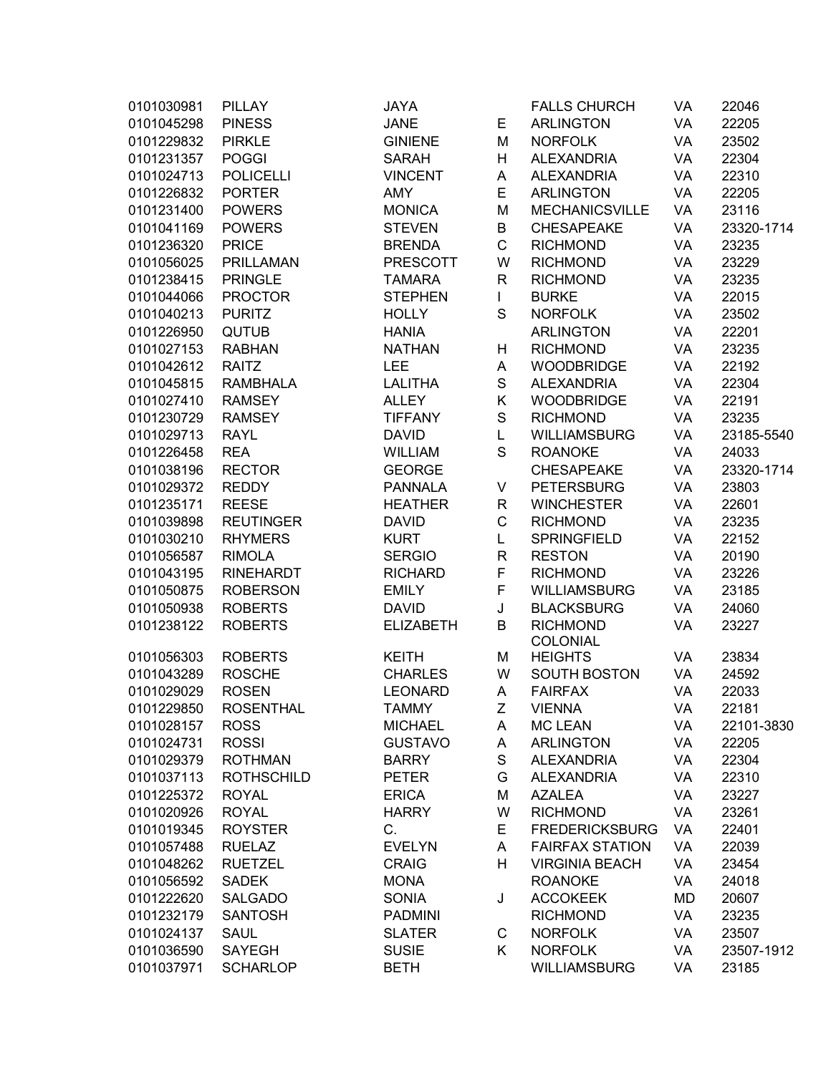| 0101030981 | <b>PILLAY</b>     | <b>JAYA</b>      |              | <b>FALLS CHURCH</b>                | VA | 22046      |
|------------|-------------------|------------------|--------------|------------------------------------|----|------------|
| 0101045298 | <b>PINESS</b>     | <b>JANE</b>      | Е            | <b>ARLINGTON</b>                   | VA | 22205      |
| 0101229832 | <b>PIRKLE</b>     | <b>GINIENE</b>   | M            | <b>NORFOLK</b>                     | VA | 23502      |
| 0101231357 | <b>POGGI</b>      | <b>SARAH</b>     | Н            | <b>ALEXANDRIA</b>                  | VA | 22304      |
| 0101024713 | <b>POLICELLI</b>  | <b>VINCENT</b>   | Α            | <b>ALEXANDRIA</b>                  | VA | 22310      |
| 0101226832 | <b>PORTER</b>     | <b>AMY</b>       | E            | <b>ARLINGTON</b>                   | VA | 22205      |
| 0101231400 | <b>POWERS</b>     | <b>MONICA</b>    | M            | <b>MECHANICSVILLE</b>              | VA | 23116      |
| 0101041169 | <b>POWERS</b>     | <b>STEVEN</b>    | B            | <b>CHESAPEAKE</b>                  | VA | 23320-1714 |
| 0101236320 | <b>PRICE</b>      | <b>BRENDA</b>    | $\mathsf C$  | <b>RICHMOND</b>                    | VA | 23235      |
| 0101056025 | <b>PRILLAMAN</b>  | <b>PRESCOTT</b>  | W            | <b>RICHMOND</b>                    | VA | 23229      |
| 0101238415 | <b>PRINGLE</b>    | <b>TAMARA</b>    | $\mathsf{R}$ | <b>RICHMOND</b>                    | VA | 23235      |
| 0101044066 | <b>PROCTOR</b>    | <b>STEPHEN</b>   | L            | <b>BURKE</b>                       | VA | 22015      |
| 0101040213 | <b>PURITZ</b>     | <b>HOLLY</b>     | S            | <b>NORFOLK</b>                     | VA | 23502      |
| 0101226950 | <b>QUTUB</b>      | <b>HANIA</b>     |              | <b>ARLINGTON</b>                   | VA | 22201      |
| 0101027153 | <b>RABHAN</b>     | <b>NATHAN</b>    | Н            | <b>RICHMOND</b>                    | VA | 23235      |
| 0101042612 | <b>RAITZ</b>      | <b>LEE</b>       | A            | <b>WOODBRIDGE</b>                  | VA | 22192      |
| 0101045815 | <b>RAMBHALA</b>   | <b>LALITHA</b>   | $\mathbf S$  | <b>ALEXANDRIA</b>                  | VA | 22304      |
| 0101027410 | <b>RAMSEY</b>     | <b>ALLEY</b>     | Κ            | <b>WOODBRIDGE</b>                  | VA | 22191      |
| 0101230729 | <b>RAMSEY</b>     | <b>TIFFANY</b>   | $\mathbf S$  | <b>RICHMOND</b>                    | VA | 23235      |
| 0101029713 | <b>RAYL</b>       | <b>DAVID</b>     | L            | <b>WILLIAMSBURG</b>                | VA | 23185-5540 |
| 0101226458 | <b>REA</b>        | <b>WILLIAM</b>   | $\mathbf S$  | <b>ROANOKE</b>                     | VA | 24033      |
|            | <b>RECTOR</b>     | <b>GEORGE</b>    |              | <b>CHESAPEAKE</b>                  |    | 23320-1714 |
| 0101038196 |                   |                  |              |                                    | VA |            |
| 0101029372 | <b>REDDY</b>      | <b>PANNALA</b>   | V            | <b>PETERSBURG</b>                  | VA | 23803      |
| 0101235171 | <b>REESE</b>      | <b>HEATHER</b>   | $\mathsf R$  | <b>WINCHESTER</b>                  | VA | 22601      |
| 0101039898 | <b>REUTINGER</b>  | <b>DAVID</b>     | $\mathsf C$  | <b>RICHMOND</b>                    | VA | 23235      |
| 0101030210 | <b>RHYMERS</b>    | <b>KURT</b>      | L            | <b>SPRINGFIELD</b>                 | VA | 22152      |
| 0101056587 | <b>RIMOLA</b>     | <b>SERGIO</b>    | R            | <b>RESTON</b>                      | VA | 20190      |
| 0101043195 | <b>RINEHARDT</b>  | <b>RICHARD</b>   | F            | <b>RICHMOND</b>                    | VA | 23226      |
| 0101050875 | <b>ROBERSON</b>   | <b>EMILY</b>     | F            | <b>WILLIAMSBURG</b>                | VA | 23185      |
| 0101050938 | <b>ROBERTS</b>    | <b>DAVID</b>     | J            | <b>BLACKSBURG</b>                  | VA | 24060      |
| 0101238122 | <b>ROBERTS</b>    | <b>ELIZABETH</b> | B            | <b>RICHMOND</b><br><b>COLONIAL</b> | VA | 23227      |
| 0101056303 | <b>ROBERTS</b>    | <b>KEITH</b>     | M            | <b>HEIGHTS</b>                     | VA | 23834      |
| 0101043289 | <b>ROSCHE</b>     | <b>CHARLES</b>   | W            | <b>SOUTH BOSTON</b>                | VA | 24592      |
| 0101029029 | <b>ROSEN</b>      | <b>LEONARD</b>   | Α            | <b>FAIRFAX</b>                     | VA | 22033      |
| 0101229850 | <b>ROSENTHAL</b>  | <b>TAMMY</b>     | Ζ            | <b>VIENNA</b>                      | VA | 22181      |
| 0101028157 | <b>ROSS</b>       | <b>MICHAEL</b>   | A            | <b>MC LEAN</b>                     | VA | 22101-3830 |
| 0101024731 | <b>ROSSI</b>      | <b>GUSTAVO</b>   | Α            | <b>ARLINGTON</b>                   | VA | 22205      |
| 0101029379 | <b>ROTHMAN</b>    | <b>BARRY</b>     | $\mathbf S$  | <b>ALEXANDRIA</b>                  | VA | 22304      |
| 0101037113 | <b>ROTHSCHILD</b> | <b>PETER</b>     | G            | <b>ALEXANDRIA</b>                  | VA | 22310      |
| 0101225372 | <b>ROYAL</b>      | <b>ERICA</b>     | M            | <b>AZALEA</b>                      | VA | 23227      |
| 0101020926 | <b>ROYAL</b>      | <b>HARRY</b>     | W            | <b>RICHMOND</b>                    | VA | 23261      |
| 0101019345 | <b>ROYSTER</b>    | C.               | E            | <b>FREDERICKSBURG</b>              | VA | 22401      |
| 0101057488 | <b>RUELAZ</b>     | <b>EVELYN</b>    | Α            | <b>FAIRFAX STATION</b>             | VA | 22039      |
| 0101048262 | <b>RUETZEL</b>    | <b>CRAIG</b>     | н            | <b>VIRGINIA BEACH</b>              | VA | 23454      |
| 0101056592 | <b>SADEK</b>      | <b>MONA</b>      |              | <b>ROANOKE</b>                     | VA | 24018      |
| 0101222620 | <b>SALGADO</b>    | <b>SONIA</b>     | J            | <b>ACCOKEEK</b>                    | MD | 20607      |
| 0101232179 | <b>SANTOSH</b>    | <b>PADMINI</b>   |              | <b>RICHMOND</b>                    | VA | 23235      |
| 0101024137 | <b>SAUL</b>       | <b>SLATER</b>    | C            | <b>NORFOLK</b>                     | VA | 23507      |
| 0101036590 | <b>SAYEGH</b>     | <b>SUSIE</b>     | K            | <b>NORFOLK</b>                     | VA | 23507-1912 |
| 0101037971 | <b>SCHARLOP</b>   | <b>BETH</b>      |              | <b>WILLIAMSBURG</b>                | VA | 23185      |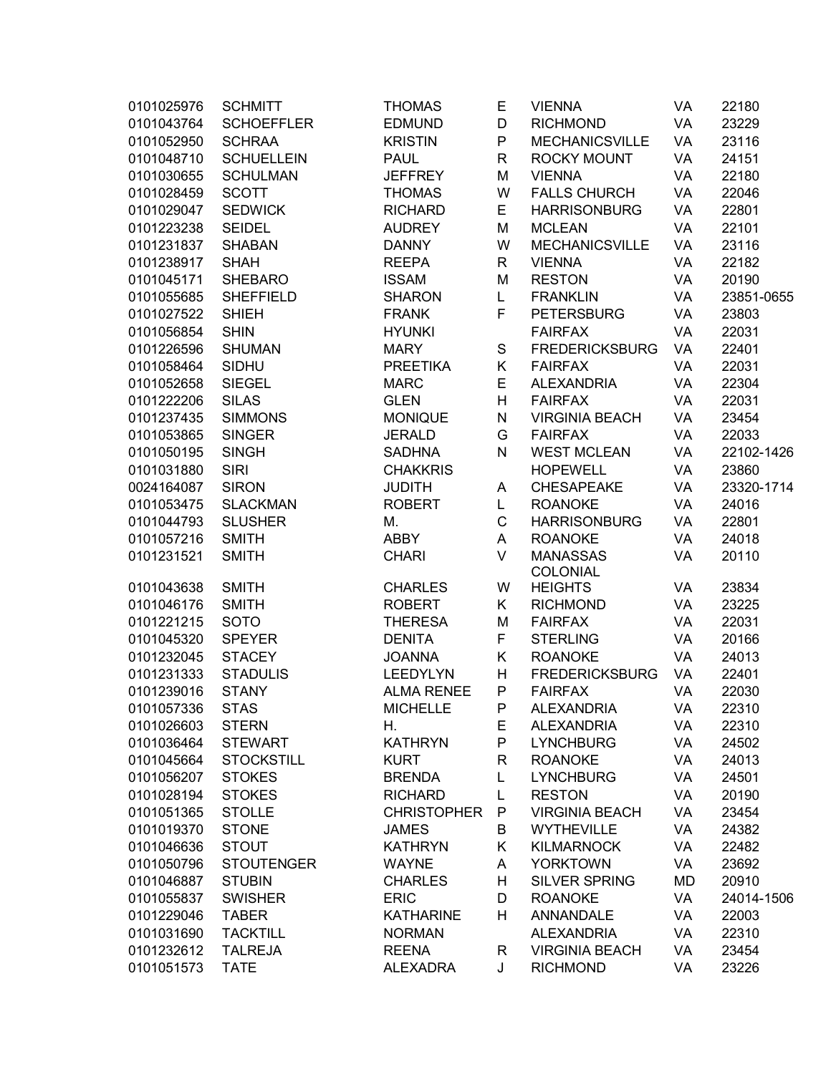| 0101025976 | <b>SCHMITT</b>    | <b>THOMAS</b>      | E           | <b>VIENNA</b>                      | VA        | 22180      |
|------------|-------------------|--------------------|-------------|------------------------------------|-----------|------------|
| 0101043764 | <b>SCHOEFFLER</b> | <b>EDMUND</b>      | D           | <b>RICHMOND</b>                    | VA        | 23229      |
| 0101052950 | <b>SCHRAA</b>     | <b>KRISTIN</b>     | P           | <b>MECHANICSVILLE</b>              | VA        | 23116      |
| 0101048710 | <b>SCHUELLEIN</b> | <b>PAUL</b>        | R           | <b>ROCKY MOUNT</b>                 | VA        | 24151      |
| 0101030655 | <b>SCHULMAN</b>   | <b>JEFFREY</b>     | M           | <b>VIENNA</b>                      | VA        | 22180      |
| 0101028459 | <b>SCOTT</b>      | <b>THOMAS</b>      | W           | <b>FALLS CHURCH</b>                | VA        | 22046      |
| 0101029047 | <b>SEDWICK</b>    | <b>RICHARD</b>     | E           | <b>HARRISONBURG</b>                | VA        | 22801      |
| 0101223238 | <b>SEIDEL</b>     | <b>AUDREY</b>      | M           | <b>MCLEAN</b>                      | VA        | 22101      |
| 0101231837 | <b>SHABAN</b>     | <b>DANNY</b>       | W           | <b>MECHANICSVILLE</b>              | VA        | 23116      |
| 0101238917 | <b>SHAH</b>       | <b>REEPA</b>       | R           | <b>VIENNA</b>                      | VA        | 22182      |
| 0101045171 | <b>SHEBARO</b>    | <b>ISSAM</b>       | M           | <b>RESTON</b>                      | VA        | 20190      |
| 0101055685 | <b>SHEFFIELD</b>  | <b>SHARON</b>      | L           | <b>FRANKLIN</b>                    | VA        | 23851-0655 |
| 0101027522 | <b>SHIEH</b>      | <b>FRANK</b>       | F           | <b>PETERSBURG</b>                  | VA        | 23803      |
| 0101056854 | <b>SHIN</b>       | <b>HYUNKI</b>      |             | <b>FAIRFAX</b>                     | VA        | 22031      |
| 0101226596 | <b>SHUMAN</b>     | <b>MARY</b>        | S           | <b>FREDERICKSBURG</b>              | VA        | 22401      |
|            | SIDHU             |                    |             |                                    |           | 22031      |
| 0101058464 |                   | <b>PREETIKA</b>    | Κ<br>E      | <b>FAIRFAX</b>                     | VA        |            |
| 0101052658 | <b>SIEGEL</b>     | <b>MARC</b>        |             | <b>ALEXANDRIA</b>                  | VA        | 22304      |
| 0101222206 | <b>SILAS</b>      | <b>GLEN</b>        | Н           | <b>FAIRFAX</b>                     | VA        | 22031      |
| 0101237435 | <b>SIMMONS</b>    | <b>MONIQUE</b>     | N           | <b>VIRGINIA BEACH</b>              | <b>VA</b> | 23454      |
| 0101053865 | <b>SINGER</b>     | <b>JERALD</b>      | G           | <b>FAIRFAX</b>                     | VA        | 22033      |
| 0101050195 | <b>SINGH</b>      | <b>SADHNA</b>      | N           | <b>WEST MCLEAN</b>                 | VA        | 22102-1426 |
| 0101031880 | <b>SIRI</b>       | <b>CHAKKRIS</b>    |             | <b>HOPEWELL</b>                    | VA        | 23860      |
| 0024164087 | <b>SIRON</b>      | <b>JUDITH</b>      | Α           | <b>CHESAPEAKE</b>                  | VA        | 23320-1714 |
| 0101053475 | <b>SLACKMAN</b>   | <b>ROBERT</b>      | Г           | <b>ROANOKE</b>                     | VA        | 24016      |
| 0101044793 | <b>SLUSHER</b>    | Μ.                 | $\mathsf C$ | <b>HARRISONBURG</b>                | VA        | 22801      |
| 0101057216 | <b>SMITH</b>      | <b>ABBY</b>        | Α           | <b>ROANOKE</b>                     | VA        | 24018      |
| 0101231521 | <b>SMITH</b>      | <b>CHARI</b>       | V           | <b>MANASSAS</b><br><b>COLONIAL</b> | <b>VA</b> | 20110      |
| 0101043638 | <b>SMITH</b>      | <b>CHARLES</b>     | W           | <b>HEIGHTS</b>                     | VA        | 23834      |
| 0101046176 | <b>SMITH</b>      | <b>ROBERT</b>      | Κ           | <b>RICHMOND</b>                    | VA        | 23225      |
| 0101221215 | <b>SOTO</b>       | <b>THERESA</b>     | M           | <b>FAIRFAX</b>                     | VA        | 22031      |
| 0101045320 | <b>SPEYER</b>     | <b>DENITA</b>      | F           | <b>STERLING</b>                    | VA        | 20166      |
| 0101232045 | <b>STACEY</b>     | <b>JOANNA</b>      | Κ           | <b>ROANOKE</b>                     | VA        | 24013      |
| 0101231333 | <b>STADULIS</b>   | <b>LEEDYLYN</b>    | Н           | <b>FREDERICKSBURG</b>              | VA        | 22401      |
| 0101239016 | <b>STANY</b>      | <b>ALMA RENEE</b>  | P           | <b>FAIRFAX</b>                     | VA        | 22030      |
| 0101057336 | <b>STAS</b>       | <b>MICHELLE</b>    | P           | ALEXANDRIA                         | VA        | 22310      |
| 0101026603 | <b>STERN</b>      | Η.                 | Е           | <b>ALEXANDRIA</b>                  | VA        | 22310      |
| 0101036464 | <b>STEWART</b>    | <b>KATHRYN</b>     | P           | <b>LYNCHBURG</b>                   | VA        | 24502      |
| 0101045664 | <b>STOCKSTILL</b> | <b>KURT</b>        | R           | <b>ROANOKE</b>                     | VA        | 24013      |
| 0101056207 | <b>STOKES</b>     | <b>BRENDA</b>      | Г           | <b>LYNCHBURG</b>                   | VA        | 24501      |
| 0101028194 | <b>STOKES</b>     | <b>RICHARD</b>     | Г           | <b>RESTON</b>                      | VA        | 20190      |
| 0101051365 | <b>STOLLE</b>     | <b>CHRISTOPHER</b> | ${\sf P}$   | <b>VIRGINIA BEACH</b>              | VA        | 23454      |
| 0101019370 | <b>STONE</b>      | <b>JAMES</b>       | B           | <b>WYTHEVILLE</b>                  | VA        | 24382      |
| 0101046636 | <b>STOUT</b>      | <b>KATHRYN</b>     | Κ           | <b>KILMARNOCK</b>                  | VA        | 22482      |
| 0101050796 | <b>STOUTENGER</b> | <b>WAYNE</b>       |             | <b>YORKTOWN</b>                    | VA        | 23692      |
|            |                   |                    | Α           |                                    |           |            |
| 0101046887 | <b>STUBIN</b>     | <b>CHARLES</b>     | н           | <b>SILVER SPRING</b>               | MD        | 20910      |
| 0101055837 | <b>SWISHER</b>    | <b>ERIC</b>        | D           | <b>ROANOKE</b>                     | VA        | 24014-1506 |
| 0101229046 | <b>TABER</b>      | <b>KATHARINE</b>   | н           | <b>ANNANDALE</b>                   | VA        | 22003      |
| 0101031690 | <b>TACKTILL</b>   | <b>NORMAN</b>      |             | <b>ALEXANDRIA</b>                  | VA        | 22310      |
| 0101232612 | <b>TALREJA</b>    | <b>REENA</b>       | R           | <b>VIRGINIA BEACH</b>              | VA        | 23454      |
| 0101051573 | <b>TATE</b>       | <b>ALEXADRA</b>    | J           | <b>RICHMOND</b>                    | VA        | 23226      |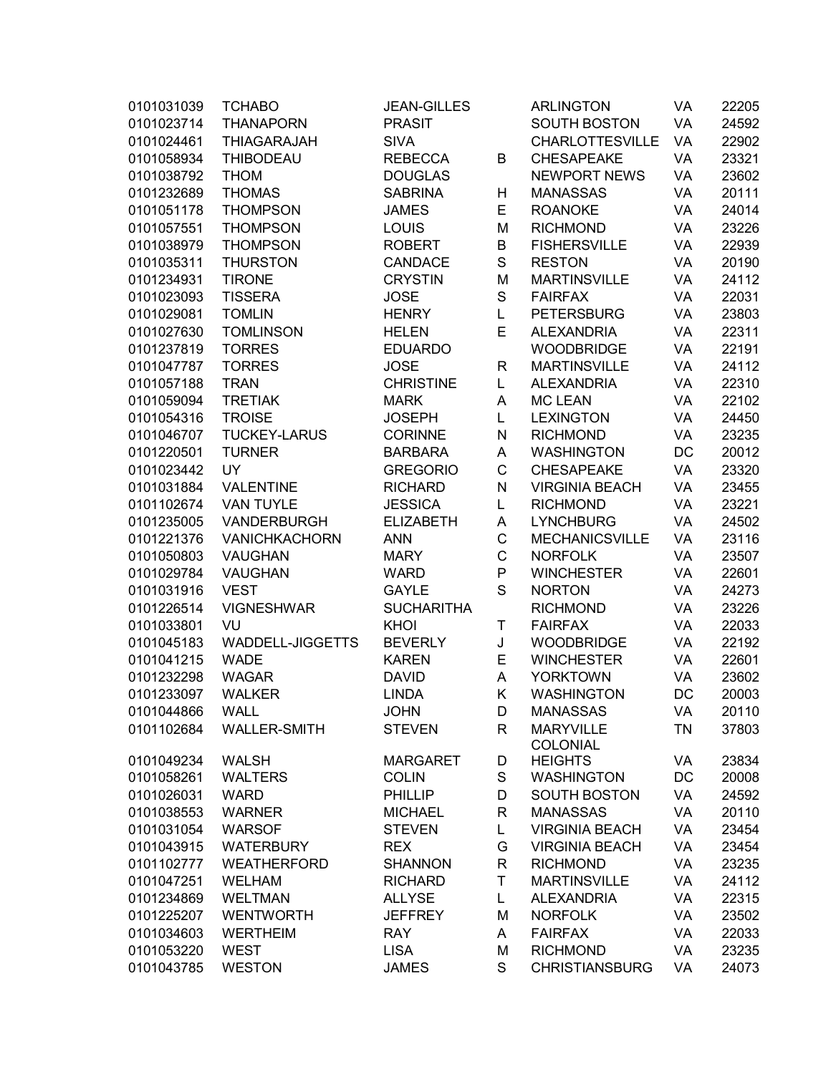| 0101031039 | <b>TCHABO</b>           | <b>JEAN-GILLES</b>              |             | <b>ARLINGTON</b>       | VA        | 22205 |
|------------|-------------------------|---------------------------------|-------------|------------------------|-----------|-------|
| 0101023714 | <b>THANAPORN</b>        | <b>PRASIT</b>                   |             | <b>SOUTH BOSTON</b>    | VA        | 24592 |
| 0101024461 | <b>THIAGARAJAH</b>      | <b>SIVA</b>                     |             | <b>CHARLOTTESVILLE</b> | VA        | 22902 |
| 0101058934 | <b>THIBODEAU</b>        | <b>REBECCA</b>                  | B           | <b>CHESAPEAKE</b>      | VA        | 23321 |
| 0101038792 | <b>THOM</b>             | <b>DOUGLAS</b>                  |             | <b>NEWPORT NEWS</b>    | VA        | 23602 |
| 0101232689 | <b>THOMAS</b>           | <b>SABRINA</b>                  | н           | <b>MANASSAS</b>        | VA        | 20111 |
| 0101051178 | <b>THOMPSON</b>         | <b>JAMES</b>                    | E           | <b>ROANOKE</b>         | VA        | 24014 |
| 0101057551 | <b>THOMPSON</b>         | LOUIS                           | M           | <b>RICHMOND</b>        | VA        | 23226 |
| 0101038979 | <b>THOMPSON</b>         | <b>ROBERT</b>                   | B           | <b>FISHERSVILLE</b>    | VA        | 22939 |
| 0101035311 | <b>THURSTON</b>         | <b>CANDACE</b>                  | $\mathbf S$ | <b>RESTON</b>          | VA        | 20190 |
| 0101234931 | <b>TIRONE</b>           | <b>CRYSTIN</b>                  | M           | <b>MARTINSVILLE</b>    | VA        | 24112 |
| 0101023093 | <b>TISSERA</b>          | <b>JOSE</b>                     | S           | <b>FAIRFAX</b>         | VA        | 22031 |
| 0101029081 | <b>TOMLIN</b>           | <b>HENRY</b>                    | L           | <b>PETERSBURG</b>      | VA        | 23803 |
| 0101027630 | <b>TOMLINSON</b>        | <b>HELEN</b>                    | E           | <b>ALEXANDRIA</b>      | VA        | 22311 |
| 0101237819 | <b>TORRES</b>           | <b>EDUARDO</b>                  |             | <b>WOODBRIDGE</b>      | VA        | 22191 |
| 0101047787 | <b>TORRES</b>           | <b>JOSE</b>                     | R           | <b>MARTINSVILLE</b>    | VA        | 24112 |
| 0101057188 |                         |                                 |             |                        |           | 22310 |
|            | <b>TRAN</b>             | <b>CHRISTINE</b><br><b>MARK</b> | L           | <b>ALEXANDRIA</b>      | VA        |       |
| 0101059094 | <b>TRETIAK</b>          |                                 | A           | <b>MC LEAN</b>         | VA        | 22102 |
| 0101054316 | <b>TROISE</b>           | <b>JOSEPH</b>                   | Г           | <b>LEXINGTON</b>       | VA        | 24450 |
| 0101046707 | <b>TUCKEY-LARUS</b>     | <b>CORINNE</b>                  | N           | <b>RICHMOND</b>        | VA        | 23235 |
| 0101220501 | <b>TURNER</b>           | <b>BARBARA</b>                  | Α           | <b>WASHINGTON</b>      | DC        | 20012 |
| 0101023442 | UY                      | <b>GREGORIO</b>                 | $\mathsf C$ | <b>CHESAPEAKE</b>      | VA        | 23320 |
| 0101031884 | <b>VALENTINE</b>        | <b>RICHARD</b>                  | N           | <b>VIRGINIA BEACH</b>  | VA        | 23455 |
| 0101102674 | <b>VAN TUYLE</b>        | <b>JESSICA</b>                  | L           | <b>RICHMOND</b>        | VA        | 23221 |
| 0101235005 | VANDERBURGH             | <b>ELIZABETH</b>                | Α           | <b>LYNCHBURG</b>       | VA        | 24502 |
| 0101221376 | <b>VANICHKACHORN</b>    | <b>ANN</b>                      | C           | <b>MECHANICSVILLE</b>  | VA        | 23116 |
| 0101050803 | <b>VAUGHAN</b>          | <b>MARY</b>                     | $\mathsf C$ | <b>NORFOLK</b>         | VA        | 23507 |
| 0101029784 | <b>VAUGHAN</b>          | <b>WARD</b>                     | P           | <b>WINCHESTER</b>      | VA        | 22601 |
| 0101031916 | <b>VEST</b>             | <b>GAYLE</b>                    | $\mathbf S$ | <b>NORTON</b>          | VA        | 24273 |
| 0101226514 | <b>VIGNESHWAR</b>       | <b>SUCHARITHA</b>               |             | <b>RICHMOND</b>        | VA        | 23226 |
| 0101033801 | VU                      | KHOI                            | Τ           | <b>FAIRFAX</b>         | VA        | 22033 |
| 0101045183 | <b>WADDELL-JIGGETTS</b> | <b>BEVERLY</b>                  | J           | <b>WOODBRIDGE</b>      | VA        | 22192 |
| 0101041215 | <b>WADE</b>             | <b>KAREN</b>                    | E           | <b>WINCHESTER</b>      | VA        | 22601 |
| 0101232298 | <b>WAGAR</b>            | <b>DAVID</b>                    | A           | <b>YORKTOWN</b>        | VA        | 23602 |
| 0101233097 | <b>WALKER</b>           | <b>LINDA</b>                    | Κ           | <b>WASHINGTON</b>      | DC        | 20003 |
| 0101044866 | <b>WALL</b>             | <b>JOHN</b>                     | D           | <b>MANASSAS</b>        | VA        | 20110 |
| 0101102684 | <b>WALLER-SMITH</b>     | <b>STEVEN</b>                   | R           | <b>MARYVILLE</b>       | <b>TN</b> | 37803 |
|            |                         |                                 |             | <b>COLONIAL</b>        |           |       |
| 0101049234 | <b>WALSH</b>            | <b>MARGARET</b>                 | D           | <b>HEIGHTS</b>         | VA        | 23834 |
| 0101058261 | <b>WALTERS</b>          | <b>COLIN</b>                    | $\mathbf S$ | <b>WASHINGTON</b>      | DC        | 20008 |
| 0101026031 | <b>WARD</b>             | <b>PHILLIP</b>                  | D           | <b>SOUTH BOSTON</b>    | VA        | 24592 |
| 0101038553 | <b>WARNER</b>           | <b>MICHAEL</b>                  | R           | <b>MANASSAS</b>        | VA        | 20110 |
| 0101031054 | <b>WARSOF</b>           | <b>STEVEN</b>                   | L           | <b>VIRGINIA BEACH</b>  | VA        | 23454 |
| 0101043915 | <b>WATERBURY</b>        | <b>REX</b>                      | G           | <b>VIRGINIA BEACH</b>  | VA        | 23454 |
| 0101102777 | <b>WEATHERFORD</b>      | <b>SHANNON</b>                  | R           | <b>RICHMOND</b>        | VA        | 23235 |
| 0101047251 | <b>WELHAM</b>           | <b>RICHARD</b>                  | T           | <b>MARTINSVILLE</b>    | VA        | 24112 |
| 0101234869 | <b>WELTMAN</b>          | <b>ALLYSE</b>                   | Г           | <b>ALEXANDRIA</b>      | VA        | 22315 |
| 0101225207 | <b>WENTWORTH</b>        | <b>JEFFREY</b>                  | M           | <b>NORFOLK</b>         | VA        | 23502 |
| 0101034603 | <b>WERTHEIM</b>         | <b>RAY</b>                      | Α           | <b>FAIRFAX</b>         | VA        | 22033 |
| 0101053220 | <b>WEST</b>             | <b>LISA</b>                     | M           | <b>RICHMOND</b>        | VA        | 23235 |
| 0101043785 | <b>WESTON</b>           | <b>JAMES</b>                    | $\mathsf S$ | <b>CHRISTIANSBURG</b>  | VA        | 24073 |